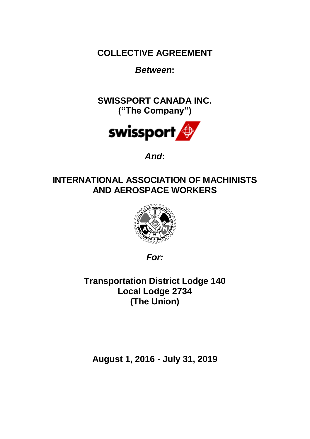**COLLECTIVE AGREEMENT**

*Between***:**

**SWISSPORT CANADA INC. ("The Company")**



*And***:**

# **INTERNATIONAL ASSOCIATION OF MACHINISTS AND AEROSPACE WORKERS**



*For:*

**Transportation District Lodge 140 Local Lodge 2734 (The Union)**

**August 1, 2016 - July 31, 2019**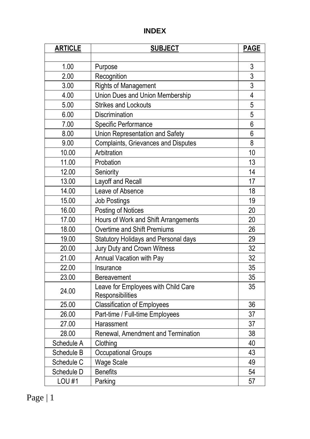# **INDEX**

| <b>ARTICLE</b> | <b>SUBJECT</b>                                          | <b>PAGE</b>    |
|----------------|---------------------------------------------------------|----------------|
|                |                                                         |                |
| 1.00           | Purpose                                                 | 3              |
| 2.00           | Recognition                                             | $\overline{3}$ |
| 3.00           | <b>Rights of Management</b>                             | 3              |
| 4.00           | Union Dues and Union Membership                         | 4              |
| 5.00           | <b>Strikes and Lockouts</b>                             | $\overline{5}$ |
| 6.00           | Discrimination                                          | 5              |
| 7.00           | Specific Performance                                    | 6              |
| 8.00           | Union Representation and Safety                         | 6              |
| 9.00           | Complaints, Grievances and Disputes                     | 8              |
| 10.00          | Arbitration                                             | 10             |
| 11.00          | Probation                                               | 13             |
| 12.00          | Seniority                                               | 14             |
| 13.00          | Layoff and Recall                                       | 17             |
| 14.00          | Leave of Absence                                        | 18             |
| 15.00          | Job Postings                                            | 19             |
| 16.00          | Posting of Notices                                      | 20             |
| 17.00          | Hours of Work and Shift Arrangements                    | 20             |
| 18.00          | Overtime and Shift Premiums                             | 26             |
| 19.00          | Statutory Holidays and Personal days                    | 29             |
| 20.00          | Jury Duty and Crown Witness                             | 32             |
| 21.00          | Annual Vacation with Pay                                | 32             |
| 22.00          | Insurance                                               | 35             |
| 23.00          | Bereavement                                             | 35             |
| 24.00          | Leave for Employees with Child Care<br>Responsibilities | 35             |
| 25.00          | <b>Classification of Employees</b>                      | 36             |
| 26.00          | Part-time / Full-time Employees                         | 37             |
| 27.00          | Harassment                                              | 37             |
| 28.00          | Renewal, Amendment and Termination                      | 38             |
| Schedule A     | Clothing                                                | 40             |
| Schedule B     | Occupational Groups                                     | 43             |
| Schedule C     | Wage Scale                                              | 49             |
| Schedule D     | <b>Benefits</b>                                         | 54             |
| <b>LOU#1</b>   | Parking                                                 | 57             |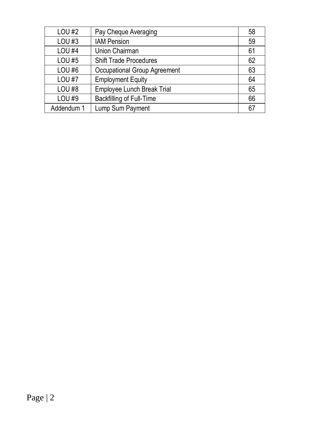| <b>LOU#2</b>  | Pay Cheque Averaging          | 58 |
|---------------|-------------------------------|----|
| LOU#3         | <b>IAM Pension</b>            | 59 |
| <b>LOU #4</b> | Union Chairman                | 61 |
| <b>LOU#5</b>  | <b>Shift Trade Procedures</b> | 62 |
| LOU#6         | Occupational Group Agreement  | 63 |
| <b>LOU#7</b>  | <b>Employment Equity</b>      | 64 |
| LOU#8         | Employee Lunch Break Trial    | 65 |
| LOU #9        | Backfilling of Full-Time      | 66 |
| Addendum 1    | Lump Sum Payment              | 67 |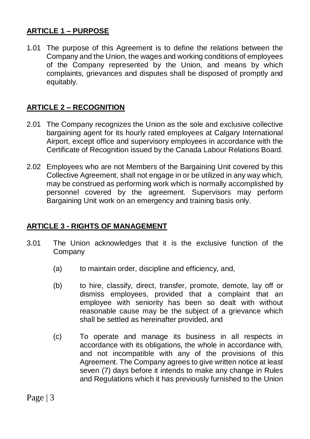# **ARTICLE 1 – PURPOSE**

1.01 The purpose of this Agreement is to define the relations between the Company and the Union, the wages and working conditions of employees of the Company represented by the Union, and means by which complaints, grievances and disputes shall be disposed of promptly and equitably.

# **ARTICLE 2 – RECOGNITION**

- 2.01 The Company recognizes the Union as the sole and exclusive collective bargaining agent for its hourly rated employees at Calgary International Airport, except office and supervisory employees in accordance with the Certificate of Recognition issued by the Canada Labour Relations Board.
- 2.02 Employees who are not Members of the Bargaining Unit covered by this Collective Agreement, shall not engage in or be utilized in any way which, may be construed as performing work which is normally accomplished by personnel covered by the agreement. Supervisors may perform Bargaining Unit work on an emergency and training basis only.

### **ARTICLE 3 - RIGHTS OF MANAGEMENT**

- 3.01 The Union acknowledges that it is the exclusive function of the Company
	- (a) to maintain order, discipline and efficiency, and,
	- (b) to hire, classify, direct, transfer, promote, demote, lay off or dismiss employees, provided that a complaint that an employee with seniority has been so dealt with without reasonable cause may be the subject of a grievance which shall be settled as hereinafter provided, and
	- (c) To operate and manage its business in all respects in accordance with its obligations, the whole in accordance with, and not incompatible with any of the provisions of this Agreement. The Company agrees to give written notice at least seven (7) days before it intends to make any change in Rules and Regulations which it has previously furnished to the Union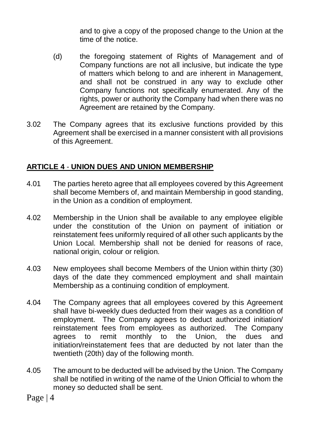and to give a copy of the proposed change to the Union at the time of the notice.

- (d) the foregoing statement of Rights of Management and of Company functions are not all inclusive, but indicate the type of matters which belong to and are inherent in Management, and shall not be construed in any way to exclude other Company functions not specifically enumerated. Any of the rights, power or authority the Company had when there was no Agreement are retained by the Company.
- 3.02 The Company agrees that its exclusive functions provided by this Agreement shall be exercised in a manner consistent with all provisions of this Agreement.

# **ARTICLE 4** - **UNION DUES AND UNION MEMBERSHIP**

- 4.01 The parties hereto agree that all employees covered by this Agreement shall become Members of, and maintain Membership in good standing, in the Union as a condition of employment.
- 4.02 Membership in the Union shall be available to any employee eligible under the constitution of the Union on payment of initiation or reinstatement fees uniformly required of all other such applicants by the Union Local. Membership shall not be denied for reasons of race, national origin, colour or religion.
- 4.03 New employees shall become Members of the Union within thirty (30) days of the date they commenced employment and shall maintain Membership as a continuing condition of employment.
- 4.04 The Company agrees that all employees covered by this Agreement shall have bi-weekly dues deducted from their wages as a condition of employment. The Company agrees to deduct authorized initiation/ reinstatement fees from employees as authorized. The Company agrees to remit monthly to the Union, the dues and initiation/reinstatement fees that are deducted by not later than the twentieth (20th) day of the following month.
- 4.05 The amount to be deducted will be advised by the Union. The Company shall be notified in writing of the name of the Union Official to whom the money so deducted shall be sent.
- Page | 4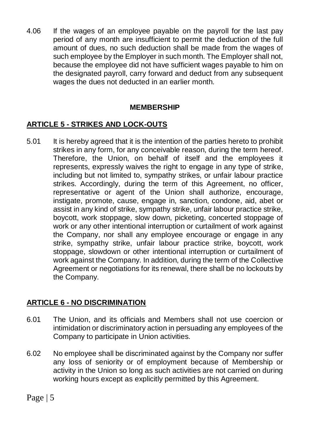4.06 If the wages of an employee payable on the payroll for the last pay period of any month are insufficient to permit the deduction of the full amount of dues, no such deduction shall be made from the wages of such employee by the Employer in such month. The Employer shall not, because the employee did not have sufficient wages payable to him on the designated payroll, carry forward and deduct from any subsequent wages the dues not deducted in an earlier month.

# **MEMBERSHIP**

# **ARTICLE 5 - STRIKES AND LOCK-OUTS**

5.01 It is hereby agreed that it is the intention of the parties hereto to prohibit strikes in any form, for any conceivable reason, during the term hereof. Therefore, the Union, on behalf of itself and the employees it represents, expressly waives the right to engage in any type of strike, including but not limited to, sympathy strikes, or unfair labour practice strikes. Accordingly, during the term of this Agreement, no officer, representative or agent of the Union shall authorize, encourage, instigate, promote, cause, engage in, sanction, condone, aid, abet or assist in any kind of strike, sympathy strike, unfair labour practice strike, boycott, work stoppage, slow down, picketing, concerted stoppage of work or any other intentional interruption or curtailment of work against the Company, nor shall any employee encourage or engage in any strike, sympathy strike, unfair labour practice strike, boycott, work stoppage, slowdown or other intentional interruption or curtailment of work against the Company. In addition, during the term of the Collective Agreement or negotiations for its renewal, there shall be no lockouts by the Company.

# **ARTICLE 6 - NO DISCRIMINATION**

- 6.01 The Union, and its officials and Members shall not use coercion or intimidation or discriminatory action in persuading any employees of the Company to participate in Union activities.
- 6.02 No employee shall be discriminated against by the Company nor suffer any loss of seniority or of employment because of Membership or activity in the Union so long as such activities are not carried on during working hours except as explicitly permitted by this Agreement.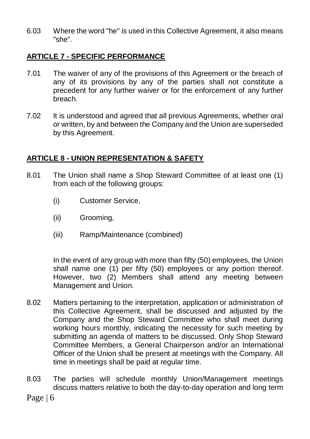6.03 Where the word "he" is used in this Collective Agreement, it also means "she".

### **ARTICLE 7 - SPECIFIC PERFORMANCE**

- 7.01 The waiver of any of the provisions of this Agreement or the breach of any of its provisions by any of the parties shall not constitute a precedent for any further waiver or for the enforcement of any further breach.
- 7.02 It is understood and agreed that all previous Agreements, whether oral or written, by and between the Company and the Union are superseded by this Agreement.

### **ARTICLE 8 - UNION REPRESENTATION & SAFETY**

- 8.01 The Union shall name a Shop Steward Committee of at least one (1) from each of the following groups:
	- (i) Customer Service,
	- (ii) Grooming,
	- (iii) Ramp/Maintenance (combined)

In the event of any group with more than fifty (50) employees, the Union shall name one (1) per fifty (50) employees or any portion thereof. However, two (2) Members shall attend any meeting between Management and Union.

- 8.02 Matters pertaining to the interpretation, application or administration of this Collective Agreement, shall be discussed and adjusted by the Company and the Shop Steward Committee who shall meet during working hours monthly, indicating the necessity for such meeting by submitting an agenda of matters to be discussed. Only Shop Steward Committee Members, a General Chairperson and/or an International Officer of the Union shall be present at meetings with the Company. All time in meetings shall be paid at regular time.
- 8.03 The parties will schedule monthly Union/Management meetings discuss matters relative to both the day-to-day operation and long term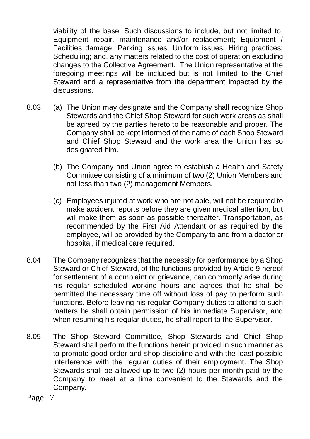viability of the base. Such discussions to include, but not limited to: Equipment repair, maintenance and/or replacement; Equipment / Facilities damage; Parking issues; Uniform issues; Hiring practices; Scheduling; and, any matters related to the cost of operation excluding changes to the Collective Agreement. The Union representative at the foregoing meetings will be included but is not limited to the Chief Steward and a representative from the department impacted by the discussions.

- 8.03 (a) The Union may designate and the Company shall recognize Shop Stewards and the Chief Shop Steward for such work areas as shall be agreed by the parties hereto to be reasonable and proper. The Company shall be kept informed of the name of each Shop Steward and Chief Shop Steward and the work area the Union has so designated him.
	- (b) The Company and Union agree to establish a Health and Safety Committee consisting of a minimum of two (2) Union Members and not less than two (2) management Members.
	- (c) Employees injured at work who are not able, will not be required to make accident reports before they are given medical attention, but will make them as soon as possible thereafter. Transportation, as recommended by the First Aid Attendant or as required by the employee, will be provided by the Company to and from a doctor or hospital, if medical care required.
- 8.04 The Company recognizes that the necessity for performance by a Shop Steward or Chief Steward, of the functions provided by Article 9 hereof for settlement of a complaint or grievance, can commonly arise during his regular scheduled working hours and agrees that he shall be permitted the necessary time off without loss of pay to perform such functions. Before leaving his regular Company duties to attend to such matters he shall obtain permission of his immediate Supervisor, and when resuming his regular duties, he shall report to the Supervisor.
- 8.05 The Shop Steward Committee, Shop Stewards and Chief Shop Steward shall perform the functions herein provided in such manner as to promote good order and shop discipline and with the least possible interference with the regular duties of their employment. The Shop Stewards shall be allowed up to two (2) hours per month paid by the Company to meet at a time convenient to the Stewards and the Company.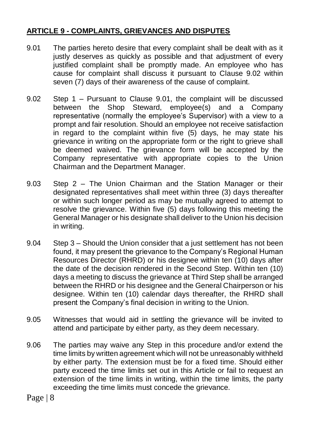# **ARTICLE 9 - COMPLAINTS, GRIEVANCES AND DISPUTES**

- 9.01 The parties hereto desire that every complaint shall be dealt with as it justly deserves as quickly as possible and that adjustment of every justified complaint shall be promptly made. An employee who has cause for complaint shall discuss it pursuant to Clause 9.02 within seven (7) days of their awareness of the cause of complaint.
- 9.02 Step 1 Pursuant to Clause 9.01, the complaint will be discussed between the Shop Steward, employee(s) and a Company representative (normally the employee's Supervisor) with a view to a prompt and fair resolution. Should an employee not receive satisfaction in regard to the complaint within five (5) days, he may state his grievance in writing on the appropriate form or the right to grieve shall be deemed waived. The grievance form will be accepted by the Company representative with appropriate copies to the Union Chairman and the Department Manager.
- 9.03 Step 2 The Union Chairman and the Station Manager or their designated representatives shall meet within three (3) days thereafter or within such longer period as may be mutually agreed to attempt to resolve the grievance. Within five (5) days following this meeting the General Manager or his designate shall deliver to the Union his decision in writing.
- 9.04 Step 3 Should the Union consider that a just settlement has not been found, it may present the grievance to the Company's Regional Human Resources Director (RHRD) or his designee within ten (10) days after the date of the decision rendered in the Second Step. Within ten (10) days a meeting to discuss the grievance at Third Step shall be arranged between the RHRD or his designee and the General Chairperson or his designee. Within ten (10) calendar days thereafter, the RHRD shall present the Company's final decision in writing to the Union.
- 9.05 Witnesses that would aid in settling the grievance will be invited to attend and participate by either party, as they deem necessary.
- 9.06 The parties may waive any Step in this procedure and/or extend the time limits by written agreement which will not be unreasonably withheld by either party. The extension must be for a fixed time. Should either party exceed the time limits set out in this Article or fail to request an extension of the time limits in writing, within the time limits, the party exceeding the time limits must concede the grievance.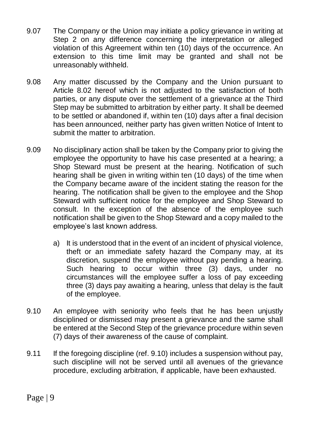- 9.07 The Company or the Union may initiate a policy grievance in writing at Step 2 on any difference concerning the interpretation or alleged violation of this Agreement within ten (10) days of the occurrence. An extension to this time limit may be granted and shall not be unreasonably withheld.
- 9.08 Any matter discussed by the Company and the Union pursuant to Article 8.02 hereof which is not adjusted to the satisfaction of both parties, or any dispute over the settlement of a grievance at the Third Step may be submitted to arbitration by either party. It shall be deemed to be settled or abandoned if, within ten (10) days after a final decision has been announced, neither party has given written Notice of Intent to submit the matter to arbitration.
- 9.09 No disciplinary action shall be taken by the Company prior to giving the employee the opportunity to have his case presented at a hearing; a Shop Steward must be present at the hearing. Notification of such hearing shall be given in writing within ten (10 days) of the time when the Company became aware of the incident stating the reason for the hearing. The notification shall be given to the employee and the Shop Steward with sufficient notice for the employee and Shop Steward to consult. In the exception of the absence of the employee such notification shall be given to the Shop Steward and a copy mailed to the employee's last known address.
	- a) It is understood that in the event of an incident of physical violence, theft or an immediate safety hazard the Company may, at its discretion, suspend the employee without pay pending a hearing. Such hearing to occur within three (3) days, under no circumstances will the employee suffer a loss of pay exceeding three (3) days pay awaiting a hearing, unless that delay is the fault of the employee.
- 9.10 An employee with seniority who feels that he has been unjustly disciplined or dismissed may present a grievance and the same shall be entered at the Second Step of the grievance procedure within seven (7) days of their awareness of the cause of complaint.
- 9.11 If the foregoing discipline (ref. 9.10) includes a suspension without pay, such discipline will not be served until all avenues of the grievance procedure, excluding arbitration, if applicable, have been exhausted.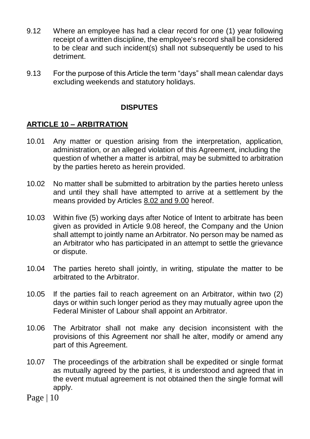- 9.12 Where an employee has had a clear record for one (1) year following receipt of a written discipline, the employee's record shall be considered to be clear and such incident(s) shall not subsequently be used to his detriment.
- 9.13 For the purpose of this Article the term "days" shall mean calendar days excluding weekends and statutory holidays.

### **DISPUTES**

### **ARTICLE 10 – ARBITRATION**

- 10.01 Any matter or question arising from the interpretation, application, administration, or an alleged violation of this Agreement, including the question of whether a matter is arbitral, may be submitted to arbitration by the parties hereto as herein provided.
- 10.02 No matter shall be submitted to arbitration by the parties hereto unless and until they shall have attempted to arrive at a settlement by the means provided by Articles 8.02 and 9.00 hereof.
- 10.03 Within five (5) working days after Notice of Intent to arbitrate has been given as provided in Article 9.08 hereof, the Company and the Union shall attempt to jointly name an Arbitrator. No person may be named as an Arbitrator who has participated in an attempt to settle the grievance or dispute.
- 10.04 The parties hereto shall jointly, in writing, stipulate the matter to be arbitrated to the Arbitrator.
- 10.05 If the parties fail to reach agreement on an Arbitrator, within two (2) days or within such longer period as they may mutually agree upon the Federal Minister of Labour shall appoint an Arbitrator.
- 10.06 The Arbitrator shall not make any decision inconsistent with the provisions of this Agreement nor shall he alter, modify or amend any part of this Agreement.
- 10.07 The proceedings of the arbitration shall be expedited or single format as mutually agreed by the parties, it is understood and agreed that in the event mutual agreement is not obtained then the single format will apply.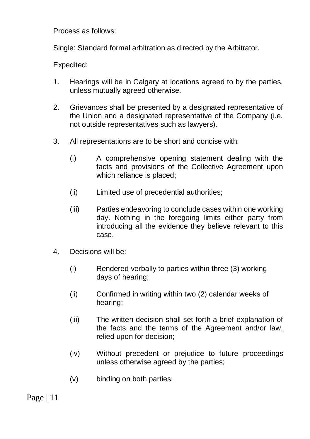Process as follows:

Single: Standard formal arbitration as directed by the Arbitrator.

Expedited:

- 1. Hearings will be in Calgary at locations agreed to by the parties, unless mutually agreed otherwise.
- 2. Grievances shall be presented by a designated representative of the Union and a designated representative of the Company (i.e. not outside representatives such as lawyers).
- 3. All representations are to be short and concise with:
	- (i) A comprehensive opening statement dealing with the facts and provisions of the Collective Agreement upon which reliance is placed;
	- (ii) Limited use of precedential authorities;
	- (iii) Parties endeavoring to conclude cases within one working day. Nothing in the foregoing limits either party from introducing all the evidence they believe relevant to this case.
- 4. Decisions will be:
	- (i) Rendered verbally to parties within three (3) working days of hearing;
	- (ii) Confirmed in writing within two (2) calendar weeks of hearing;
	- (iii) The written decision shall set forth a brief explanation of the facts and the terms of the Agreement and/or law, relied upon for decision;
	- (iv) Without precedent or prejudice to future proceedings unless otherwise agreed by the parties;
	- (v) binding on both parties;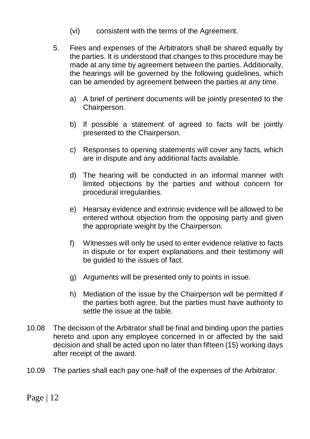- (vi) consistent with the terms of the Agreement.
- 5. Fees and expenses of the Arbitrators shall be shared equally by the parties. It is understood that changes to this procedure may be made at any time by agreement between the parties. Additionally, the hearings will be governed by the following guidelines, which can be amended by agreement between the parties at any time.
	- a) A brief of pertinent documents will be jointly presented to the Chairperson.
	- b) If possible a statement of agreed to facts will be jointly presented to the Chairperson.
	- c) Responses to opening statements will cover any facts, which are in dispute and any additional facts available.
	- d) The hearing will be conducted in an informal manner with limited objections by the parties and without concern for procedural irregularities.
	- e) Hearsay evidence and extrinsic evidence will be allowed to be entered without objection from the opposing party and given the appropriate weight by the Chairperson.
	- f) Witnesses will only be used to enter evidence relative to facts in dispute or for expert explanations and their testimony will be guided to the issues of fact.
	- g) Arguments will be presented only to points in issue.
	- h) Mediation of the issue by the Chairperson will be permitted if the parties both agree, but the parties must have authority to settle the issue at the table.
- 10.08 The decision of the Arbitrator shall be final and binding upon the parties hereto and upon any employee concerned in or affected by the said decision and shall be acted upon no later than fifteen (15) working days after receipt of the award.
- 10.09 The parties shall each pay one-half of the expenses of the Arbitrator.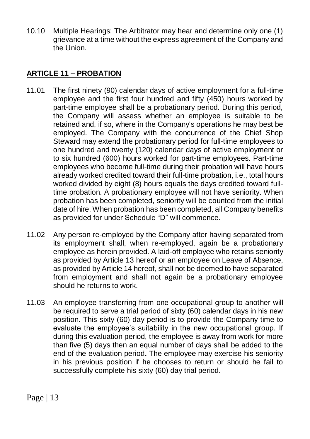10.10 Multiple Hearings: The Arbitrator may hear and determine only one (1) grievance at a time without the express agreement of the Company and the Union.

# **ARTICLE 11 – PROBATION**

- 11.01 The first ninety (90) calendar days of active employment for a full-time employee and the first four hundred and fifty (450) hours worked by part-time employee shall be a probationary period. During this period, the Company will assess whether an employee is suitable to be retained and, if so, where in the Company's operations he may best be employed. The Company with the concurrence of the Chief Shop Steward may extend the probationary period for full-time employees to one hundred and twenty (120) calendar days of active employment or to six hundred (600) hours worked for part-time employees. Part-time employees who become full-time during their probation will have hours already worked credited toward their full-time probation, i.e., total hours worked divided by eight (8) hours equals the days credited toward fulltime probation. A probationary employee will not have seniority. When probation has been completed, seniority will be counted from the initial date of hire. When probation has been completed, all Company benefits as provided for under Schedule "D" will commence.
- 11.02 Any person re-employed by the Company after having separated from its employment shall, when re-employed, again be a probationary employee as herein provided. A laid-off employee who retains seniority as provided by Article 13 hereof or an employee on Leave of Absence, as provided by Article 14 hereof, shall not be deemed to have separated from employment and shall not again be a probationary employee should he returns to work.
- 11.03 An employee transferring from one occupational group to another will be required to serve a trial period of sixty (60) calendar days in his new position. This sixty (60) day period is to provide the Company time to evaluate the employee's suitability in the new occupational group. If during this evaluation period, the employee is away from work for more than five (5) days then an equal number of days shall be added to the end of the evaluation period**.** The employee may exercise his seniority in his previous position if he chooses to return or should he fail to successfully complete his sixty (60) day trial period.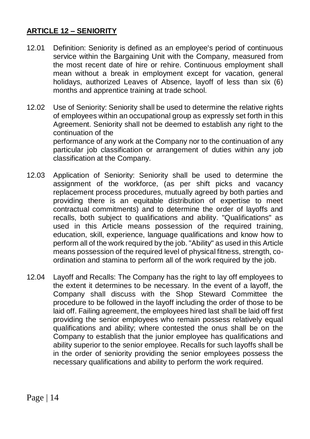# **ARTICLE 12 – SENIORITY**

- 12.01 Definition: Seniority is defined as an employee's period of continuous service within the Bargaining Unit with the Company, measured from the most recent date of hire or rehire. Continuous employment shall mean without a break in employment except for vacation, general holidays, authorized Leaves of Absence, layoff of less than six (6) months and apprentice training at trade school.
- 12.02 Use of Seniority: Seniority shall be used to determine the relative rights of employees within an occupational group as expressly set forth in this Agreement. Seniority shall not be deemed to establish any right to the continuation of the performance of any work at the Company nor to the continuation of any particular job classification or arrangement of duties within any job classification at the Company.
- 12.03 Application of Seniority: Seniority shall be used to determine the assignment of the workforce, (as per shift picks and vacancy replacement process procedures, mutually agreed by both parties and providing there is an equitable distribution of expertise to meet contractual commitments) and to determine the order of layoffs and recalls, both subject to qualifications and ability. "Qualifications" as used in this Article means possession of the required training, education, skill, experience, language qualifications and know how to perform all of the work required by the job. "Ability" as used in this Article means possession of the required level of physical fitness, strength, coordination and stamina to perform all of the work required by the job.
- 12.04 Layoff and Recalls: The Company has the right to lay off employees to the extent it determines to be necessary. In the event of a layoff, the Company shall discuss with the Shop Steward Committee the procedure to be followed in the layoff including the order of those to be laid off. Failing agreement, the employees hired last shall be laid off first providing the senior employees who remain possess relatively equal qualifications and ability; where contested the onus shall be on the Company to establish that the junior employee has qualifications and ability superior to the senior employee. Recalls for such layoffs shall be in the order of seniority providing the senior employees possess the necessary qualifications and ability to perform the work required.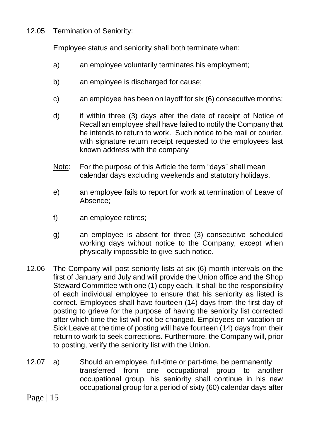12.05 Termination of Seniority:

Employee status and seniority shall both terminate when:

- a) an employee voluntarily terminates his employment;
- b) an employee is discharged for cause;
- c) an employee has been on layoff for six (6) consecutive months;
- d) if within three (3) days after the date of receipt of Notice of Recall an employee shall have failed to notify the Company that he intends to return to work. Such notice to be mail or courier, with signature return receipt requested to the employees last known address with the company
- Note: For the purpose of this Article the term "days" shall mean calendar days excluding weekends and statutory holidays.
- e) an employee fails to report for work at termination of Leave of Absence;
- f) an employee retires;
- g) an employee is absent for three (3) consecutive scheduled working days without notice to the Company, except when physically impossible to give such notice.
- 12.06 The Company will post seniority lists at six (6) month intervals on the first of January and July and will provide the Union office and the Shop Steward Committee with one (1) copy each. It shall be the responsibility of each individual employee to ensure that his seniority as listed is correct. Employees shall have fourteen (14) days from the first day of posting to grieve for the purpose of having the seniority list corrected after which time the list will not be changed. Employees on vacation or Sick Leave at the time of posting will have fourteen (14) days from their return to work to seek corrections. Furthermore, the Company will, prior to posting, verify the seniority list with the Union.
- 12.07 a) Should an employee, full-time or part-time, be permanently transferred from one occupational group to another occupational group, his seniority shall continue in his new occupational group for a period of sixty (60) calendar days after
- Page  $|15$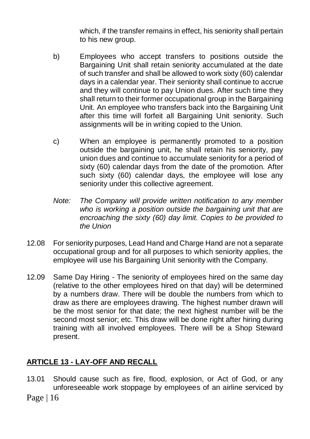which, if the transfer remains in effect, his seniority shall pertain to his new group.

- b) Employees who accept transfers to positions outside the Bargaining Unit shall retain seniority accumulated at the date of such transfer and shall be allowed to work sixty (60) calendar days in a calendar year. Their seniority shall continue to accrue and they will continue to pay Union dues. After such time they shall return to their former occupational group in the Bargaining Unit. An employee who transfers back into the Bargaining Unit after this time will forfeit all Bargaining Unit seniority. Such assignments will be in writing copied to the Union.
- c) When an employee is permanently promoted to a position outside the bargaining unit, he shall retain his seniority, pay union dues and continue to accumulate seniority for a period of sixty (60) calendar days from the date of the promotion. After such sixty (60) calendar days, the employee will lose any seniority under this collective agreement.
- *Note: The Company will provide written notification to any member who is working a position outside the bargaining unit that are encroaching the sixty (60) day limit. Copies to be provided to the Union*
- 12.08 For seniority purposes, Lead Hand and Charge Hand are not a separate occupational group and for all purposes to which seniority applies, the employee will use his Bargaining Unit seniority with the Company.
- 12.09 Same Day Hiring The seniority of employees hired on the same day (relative to the other employees hired on that day) will be determined by a numbers draw. There will be double the numbers from which to draw as there are employees drawing. The highest number drawn will be the most senior for that date; the next highest number will be the second most senior; etc. This draw will be done right after hiring during training with all involved employees. There will be a Shop Steward present.

# **ARTICLE 13 - LAY-OFF AND RECALL**

- 13.01 Should cause such as fire, flood, explosion, or Act of God, or any unforeseeable work stoppage by employees of an airline serviced by
- Page | 16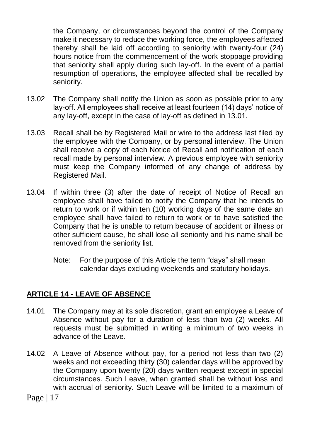the Company, or circumstances beyond the control of the Company make it necessary to reduce the working force, the employees affected thereby shall be laid off according to seniority with twenty-four (24) hours notice from the commencement of the work stoppage providing that seniority shall apply during such lay-off. In the event of a partial resumption of operations, the employee affected shall be recalled by seniority.

- 13.02 The Company shall notify the Union as soon as possible prior to any lay-off. All employees shall receive at least fourteen (14) days' notice of any lay-off, except in the case of lay-off as defined in 13.01.
- 13.03 Recall shall be by Registered Mail or wire to the address last filed by the employee with the Company, or by personal interview. The Union shall receive a copy of each Notice of Recall and notification of each recall made by personal interview. A previous employee with seniority must keep the Company informed of any change of address by Registered Mail.
- 13.04 If within three (3) after the date of receipt of Notice of Recall an employee shall have failed to notify the Company that he intends to return to work or if within ten (10) working days of the same date an employee shall have failed to return to work or to have satisfied the Company that he is unable to return because of accident or illness or other sufficient cause, he shall lose all seniority and his name shall be removed from the seniority list.
	- Note: For the purpose of this Article the term "days" shall mean calendar days excluding weekends and statutory holidays.

# **ARTICLE 14 - LEAVE OF ABSENCE**

- 14.01 The Company may at its sole discretion, grant an employee a Leave of Absence without pay for a duration of less than two (2) weeks. All requests must be submitted in writing a minimum of two weeks in advance of the Leave.
- 14.02 A Leave of Absence without pay, for a period not less than two (2) weeks and not exceeding thirty (30) calendar days will be approved by the Company upon twenty (20) days written request except in special circumstances. Such Leave, when granted shall be without loss and with accrual of seniority. Such Leave will be limited to a maximum of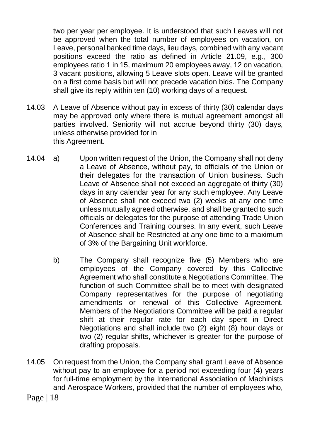two per year per employee. It is understood that such Leaves will not be approved when the total number of employees on vacation, on Leave, personal banked time days, lieu days, combined with any vacant positions exceed the ratio as defined in Article 21.09, e.g., 300 employees ratio 1 in 15, maximum 20 employees away, 12 on vacation, 3 vacant positions, allowing 5 Leave slots open. Leave will be granted on a first come basis but will not precede vacation bids. The Company shall give its reply within ten (10) working days of a request.

- 14.03 A Leave of Absence without pay in excess of thirty (30) calendar days may be approved only where there is mutual agreement amongst all parties involved. Seniority will not accrue beyond thirty (30) days, unless otherwise provided for in this Agreement.
- 14.04 a) Upon written request of the Union, the Company shall not deny a Leave of Absence, without pay, to officials of the Union or their delegates for the transaction of Union business. Such Leave of Absence shall not exceed an aggregate of thirty (30) days in any calendar year for any such employee. Any Leave of Absence shall not exceed two (2) weeks at any one time unless mutually agreed otherwise, and shall be granted to such officials or delegates for the purpose of attending Trade Union Conferences and Training courses. In any event, such Leave of Absence shall be Restricted at any one time to a maximum of 3% of the Bargaining Unit workforce.
	- b) The Company shall recognize five (5) Members who are employees of the Company covered by this Collective Agreement who shall constitute a Negotiations Committee. The function of such Committee shall be to meet with designated Company representatives for the purpose of negotiating amendments or renewal of this Collective Agreement. Members of the Negotiations Committee will be paid a regular shift at their regular rate for each day spent in Direct Negotiations and shall include two (2) eight (8) hour days or two (2) regular shifts, whichever is greater for the purpose of drafting proposals.
- 14.05 On request from the Union, the Company shall grant Leave of Absence without pay to an employee for a period not exceeding four (4) years for full-time employment by the International Association of Machinists and Aerospace Workers, provided that the number of employees who,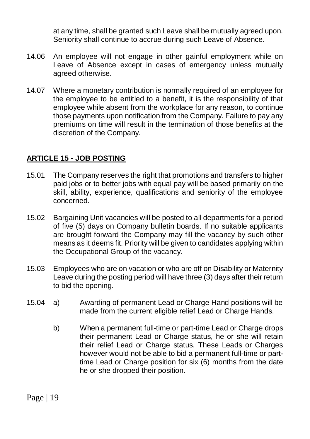at any time, shall be granted such Leave shall be mutually agreed upon. Seniority shall continue to accrue during such Leave of Absence.

- 14.06 An employee will not engage in other gainful employment while on Leave of Absence except in cases of emergency unless mutually agreed otherwise.
- 14.07 Where a monetary contribution is normally required of an employee for the employee to be entitled to a benefit, it is the responsibility of that employee while absent from the workplace for any reason, to continue those payments upon notification from the Company. Failure to pay any premiums on time will result in the termination of those benefits at the discretion of the Company.

### **ARTICLE 15 - JOB POSTING**

- 15.01 The Company reserves the right that promotions and transfers to higher paid jobs or to better jobs with equal pay will be based primarily on the skill, ability, experience, qualifications and seniority of the employee concerned.
- 15.02 Bargaining Unit vacancies will be posted to all departments for a period of five (5) days on Company bulletin boards. If no suitable applicants are brought forward the Company may fill the vacancy by such other means as it deems fit. Priority will be given to candidates applying within the Occupational Group of the vacancy.
- 15.03 Employees who are on vacation or who are off on Disability or Maternity Leave during the posting period will have three (3) days after their return to bid the opening.
- 15.04 a) Awarding of permanent Lead or Charge Hand positions will be made from the current eligible relief Lead or Charge Hands.
	- b) When a permanent full-time or part-time Lead or Charge drops their permanent Lead or Charge status, he or she will retain their relief Lead or Charge status. These Leads or Charges however would not be able to bid a permanent full-time or parttime Lead or Charge position for six (6) months from the date he or she dropped their position.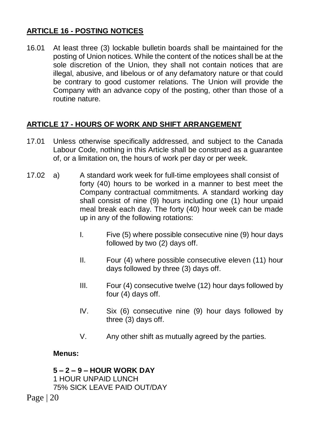# **ARTICLE 16 - POSTING NOTICES**

16.01 At least three (3) lockable bulletin boards shall be maintained for the posting of Union notices. While the content of the notices shall be at the sole discretion of the Union, they shall not contain notices that are illegal, abusive, and libelous or of any defamatory nature or that could be contrary to good customer relations. The Union will provide the Company with an advance copy of the posting, other than those of a routine nature.

# **ARTICLE 17 - HOURS OF WORK AND SHIFT ARRANGEMENT**

- 17.01 Unless otherwise specifically addressed, and subject to the Canada Labour Code, nothing in this Article shall be construed as a guarantee of, or a limitation on, the hours of work per day or per week.
- 17.02 a) A standard work week for full-time employees shall consist of forty (40) hours to be worked in a manner to best meet the Company contractual commitments. A standard working day shall consist of nine (9) hours including one (1) hour unpaid meal break each day. The forty (40) hour week can be made up in any of the following rotations:
	- I. Five (5) where possible consecutive nine (9) hour days followed by two (2) days off.
	- II. Four (4) where possible consecutive eleven (11) hour days followed by three (3) days off.
	- III. Four (4) consecutive twelve (12) hour days followed by four (4) days off.
	- IV. Six (6) consecutive nine (9) hour days followed by three (3) days off.
	- V. Any other shift as mutually agreed by the parties.

#### **Menus:**

**5 – 2 – 9 – HOUR WORK DAY** 1 HOUR UNPAID LUNCH 75% SICK LEAVE PAID OUT/DAY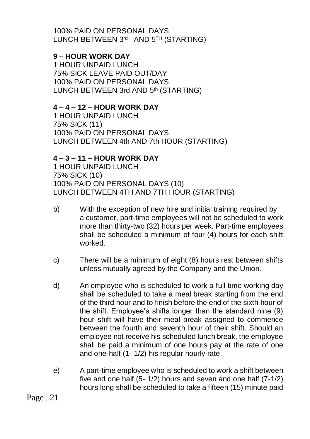100% PAID ON PERSONAL DAYS LUNCH BETWEEN 3rd AND 5TH (STARTING)

### **9 – HOUR WORK DAY**

1 HOUR UNPAID LUNCH 75% SICK LEAVE PAID OUT/DAY 100% PAID ON PERSONAL DAYS LUNCH BETWEEN 3rd AND 5th (STARTING)

#### **4 – 4 – 12 – HOUR WORK DAY**

1 HOUR UNPAID LUNCH 75% SICK (11) 100% PAID ON PERSONAL DAYS LUNCH BETWEEN 4th AND 7th HOUR (STARTING)

### **4 – 3 – 11 – HOUR WORK DAY**

1 HOUR UNPAID LUNCH 75% SICK (10) 100% PAID ON PERSONAL DAYS (10) LUNCH BETWEEN 4TH AND 7TH HOUR (STARTING)

- b) With the exception of new hire and initial training required by a customer, part-time employees will not be scheduled to work more than thirty-two (32) hours per week. Part-time employees shall be scheduled a minimum of four (4) hours for each shift worked.
- c) There will be a minimum of eight (8) hours rest between shifts unless mutually agreed by the Company and the Union.
- d) An employee who is scheduled to work a full-time working day shall be scheduled to take a meal break starting from the end of the third hour and to finish before the end of the sixth hour of the shift. Employee's shifts longer than the standard nine (9) hour shift will have their meal break assigned to commence between the fourth and seventh hour of their shift. Should an employee not receive his scheduled lunch break, the employee shall be paid a minimum of one hours pay at the rate of one and one-half (1- 1/2) his regular hourly rate.
- e) A part-time employee who is scheduled to work a shift between five and one half (5- 1/2) hours and seven and one half (7-1/2) hours long shall be scheduled to take a fifteen (15) minute paid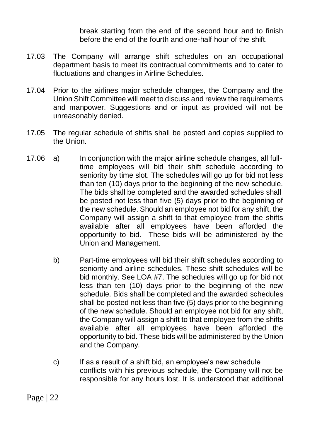break starting from the end of the second hour and to finish before the end of the fourth and one-half hour of the shift.

- 17.03 The Company will arrange shift schedules on an occupational department basis to meet its contractual commitments and to cater to fluctuations and changes in Airline Schedules.
- 17.04 Prior to the airlines major schedule changes, the Company and the Union Shift Committee will meet to discuss and review the requirements and manpower. Suggestions and or input as provided will not be unreasonably denied.
- 17.05 The regular schedule of shifts shall be posted and copies supplied to the Union.
- 17.06 a) In conjunction with the major airline schedule changes, all fulltime employees will bid their shift schedule according to seniority by time slot. The schedules will go up for bid not less than ten (10) days prior to the beginning of the new schedule. The bids shall be completed and the awarded schedules shall be posted not less than five (5) days prior to the beginning of the new schedule. Should an employee not bid for any shift, the Company will assign a shift to that employee from the shifts available after all employees have been afforded the opportunity to bid. These bids will be administered by the Union and Management.
	- b) Part-time employees will bid their shift schedules according to seniority and airline schedules. These shift schedules will be bid monthly. See LOA #7. The schedules will go up for bid not less than ten (10) days prior to the beginning of the new schedule. Bids shall be completed and the awarded schedules shall be posted not less than five (5) days prior to the beginning of the new schedule. Should an employee not bid for any shift, the Company will assign a shift to that employee from the shifts available after all employees have been afforded the opportunity to bid. These bids will be administered by the Union and the Company.
	- c) If as a result of a shift bid, an employee's new schedule conflicts with his previous schedule, the Company will not be responsible for any hours lost. It is understood that additional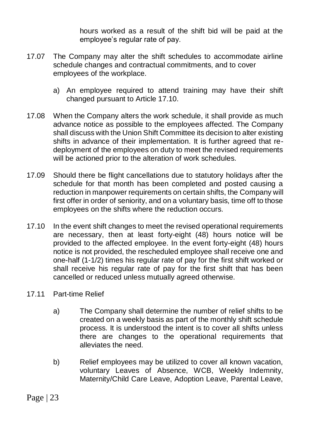hours worked as a result of the shift bid will be paid at the employee's regular rate of pay.

- 17.07 The Company may alter the shift schedules to accommodate airline schedule changes and contractual commitments, and to cover employees of the workplace.
	- a) An employee required to attend training may have their shift changed pursuant to Article 17.10.
- 17.08 When the Company alters the work schedule, it shall provide as much advance notice as possible to the employees affected. The Company shall discuss with the Union Shift Committee its decision to alter existing shifts in advance of their implementation. It is further agreed that redeployment of the employees on duty to meet the revised requirements will be actioned prior to the alteration of work schedules.
- 17.09 Should there be flight cancellations due to statutory holidays after the schedule for that month has been completed and posted causing a reduction in manpower requirements on certain shifts, the Company will first offer in order of seniority, and on a voluntary basis, time off to those employees on the shifts where the reduction occurs.
- 17.10 In the event shift changes to meet the revised operational requirements are necessary, then at least forty-eight (48) hours notice will be provided to the affected employee. In the event forty-eight (48) hours notice is not provided, the rescheduled employee shall receive one and one-half (1-1/2) times his regular rate of pay for the first shift worked or shall receive his regular rate of pay for the first shift that has been cancelled or reduced unless mutually agreed otherwise.
- 17.11 Part-time Relief
	- a) The Company shall determine the number of relief shifts to be created on a weekly basis as part of the monthly shift schedule process. It is understood the intent is to cover all shifts unless there are changes to the operational requirements that alleviates the need.
	- b) Relief employees may be utilized to cover all known vacation, voluntary Leaves of Absence, WCB, Weekly Indemnity, Maternity/Child Care Leave, Adoption Leave, Parental Leave,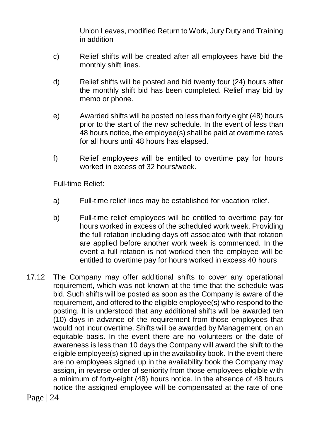Union Leaves, modified Return to Work, Jury Duty and Training in addition

- c) Relief shifts will be created after all employees have bid the monthly shift lines.
- d) Relief shifts will be posted and bid twenty four (24) hours after the monthly shift bid has been completed. Relief may bid by memo or phone.
- e) Awarded shifts will be posted no less than forty eight (48) hours prior to the start of the new schedule. In the event of less than 48 hours notice, the employee(s) shall be paid at overtime rates for all hours until 48 hours has elapsed.
- f) Relief employees will be entitled to overtime pay for hours worked in excess of 32 hours/week.

Full-time Relief:

- a) Full-time relief lines may be established for vacation relief.
- b) Full-time relief employees will be entitled to overtime pay for hours worked in excess of the scheduled work week. Providing the full rotation including days off associated with that rotation are applied before another work week is commenced. In the event a full rotation is not worked then the employee will be entitled to overtime pay for hours worked in excess 40 hours
- 17.12 The Company may offer additional shifts to cover any operational requirement, which was not known at the time that the schedule was bid. Such shifts will be posted as soon as the Company is aware of the requirement, and offered to the eligible employee(s) who respond to the posting. It is understood that any additional shifts will be awarded ten (10) days in advance of the requirement from those employees that would not incur overtime. Shifts will be awarded by Management, on an equitable basis. In the event there are no volunteers or the date of awareness is less than 10 days the Company will award the shift to the eligible employee(s) signed up in the availability book. In the event there are no employees signed up in the availability book the Company may assign, in reverse order of seniority from those employees eligible with a minimum of forty-eight (48) hours notice. In the absence of 48 hours notice the assigned employee will be compensated at the rate of one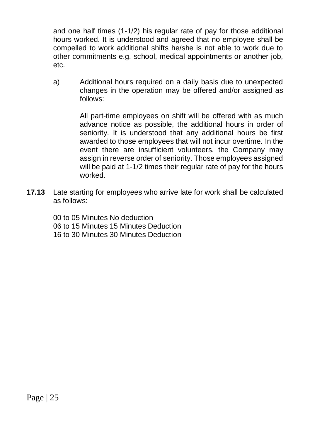and one half times (1-1/2) his regular rate of pay for those additional hours worked. It is understood and agreed that no employee shall be compelled to work additional shifts he/she is not able to work due to other commitments e.g. school, medical appointments or another job, etc.

a) Additional hours required on a daily basis due to unexpected changes in the operation may be offered and/or assigned as follows:

> All part-time employees on shift will be offered with as much advance notice as possible, the additional hours in order of seniority. It is understood that any additional hours be first awarded to those employees that will not incur overtime. In the event there are insufficient volunteers, the Company may assign in reverse order of seniority. Those employees assigned will be paid at 1-1/2 times their regular rate of pay for the hours worked.

**17.13** Late starting for employees who arrive late for work shall be calculated as follows:

> 00 to 05 Minutes No deduction 06 to 15 Minutes 15 Minutes Deduction 16 to 30 Minutes 30 Minutes Deduction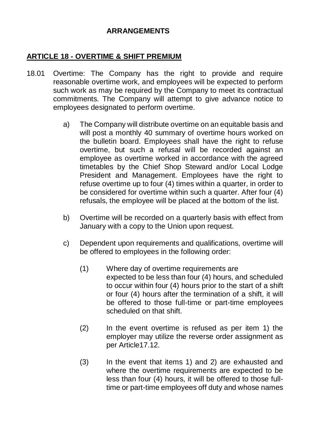#### **ARRANGEMENTS**

#### **ARTICLE 18 - OVERTIME & SHIFT PREMIUM**

- 18.01 Overtime: The Company has the right to provide and require reasonable overtime work, and employees will be expected to perform such work as may be required by the Company to meet its contractual commitments. The Company will attempt to give advance notice to employees designated to perform overtime.
	- a) The Company will distribute overtime on an equitable basis and will post a monthly 40 summary of overtime hours worked on the bulletin board. Employees shall have the right to refuse overtime, but such a refusal will be recorded against an employee as overtime worked in accordance with the agreed timetables by the Chief Shop Steward and/or Local Lodge President and Management. Employees have the right to refuse overtime up to four (4) times within a quarter, in order to be considered for overtime within such a quarter. After four (4) refusals, the employee will be placed at the bottom of the list.
	- b) Overtime will be recorded on a quarterly basis with effect from January with a copy to the Union upon request.
	- c) Dependent upon requirements and qualifications, overtime will be offered to employees in the following order:
		- (1) Where day of overtime requirements are expected to be less than four (4) hours, and scheduled to occur within four (4) hours prior to the start of a shift or four (4) hours after the termination of a shift, it will be offered to those full-time or part-time employees scheduled on that shift.
		- (2) In the event overtime is refused as per item 1) the employer may utilize the reverse order assignment as per Article17.12.
		- (3) In the event that items 1) and 2) are exhausted and where the overtime requirements are expected to be less than four (4) hours, it will be offered to those fulltime or part-time employees off duty and whose names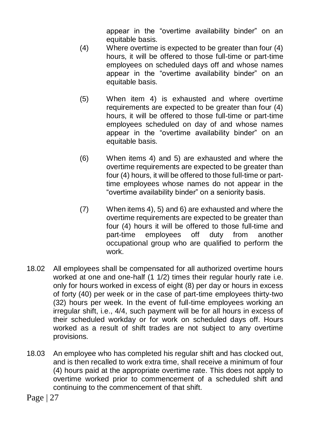appear in the "overtime availability binder" on an equitable basis.

- (4) Where overtime is expected to be greater than four (4) hours, it will be offered to those full-time or part-time employees on scheduled days off and whose names appear in the "overtime availability binder" on an equitable basis.
- (5) When item 4) is exhausted and where overtime requirements are expected to be greater than four (4) hours, it will be offered to those full-time or part-time employees scheduled on day of and whose names appear in the "overtime availability binder" on an equitable basis.
- (6) When items 4) and 5) are exhausted and where the overtime requirements are expected to be greater than four (4) hours, it will be offered to those full-time or parttime employees whose names do not appear in the "overtime availability binder" on a seniority basis.
- (7) When items 4), 5) and 6) are exhausted and where the overtime requirements are expected to be greater than four (4) hours it will be offered to those full-time and part-time employees off duty from another occupational group who are qualified to perform the work.
- 18.02 All employees shall be compensated for all authorized overtime hours worked at one and one-half (1 1/2) times their regular hourly rate i.e. only for hours worked in excess of eight (8) per day or hours in excess of forty (40) per week or in the case of part-time employees thirty-two (32) hours per week. In the event of full-time employees working an irregular shift, i.e., 4/4, such payment will be for all hours in excess of their scheduled workday or for work on scheduled days off. Hours worked as a result of shift trades are not subject to any overtime provisions.
- 18.03 An employee who has completed his regular shift and has clocked out, and is then recalled to work extra time, shall receive a minimum of four (4) hours paid at the appropriate overtime rate. This does not apply to overtime worked prior to commencement of a scheduled shift and continuing to the commencement of that shift.
- Page | 27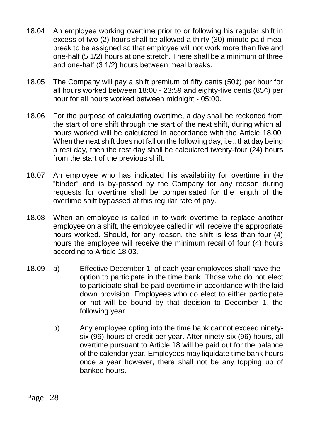- 18.04 An employee working overtime prior to or following his regular shift in excess of two (2) hours shall be allowed a thirty (30) minute paid meal break to be assigned so that employee will not work more than five and one-half (5 1/2) hours at one stretch. There shall be a minimum of three and one-half (3 1/2) hours between meal breaks.
- 18.05 The Company will pay a shift premium of fifty cents (50¢) per hour for all hours worked between 18:00 - 23:59 and eighty-five cents (85¢) per hour for all hours worked between midnight - 05:00.
- 18.06 For the purpose of calculating overtime, a day shall be reckoned from the start of one shift through the start of the next shift, during which all hours worked will be calculated in accordance with the Article 18.00. When the next shift does not fall on the following day, i.e., that day being a rest day, then the rest day shall be calculated twenty-four (24) hours from the start of the previous shift.
- 18.07 An employee who has indicated his availability for overtime in the "binder" and is by-passed by the Company for any reason during requests for overtime shall be compensated for the length of the overtime shift bypassed at this regular rate of pay.
- 18.08 When an employee is called in to work overtime to replace another employee on a shift, the employee called in will receive the appropriate hours worked. Should, for any reason, the shift is less than four (4) hours the employee will receive the minimum recall of four (4) hours according to Article 18.03.
- 18.09 a) Effective December 1, of each year employees shall have the option to participate in the time bank. Those who do not elect to participate shall be paid overtime in accordance with the laid down provision. Employees who do elect to either participate or not will be bound by that decision to December 1, the following year.
	- b) Any employee opting into the time bank cannot exceed ninetysix (96) hours of credit per year. After ninety-six (96) hours, all overtime pursuant to Article 18 will be paid out for the balance of the calendar year. Employees may liquidate time bank hours once a year however, there shall not be any topping up of banked hours.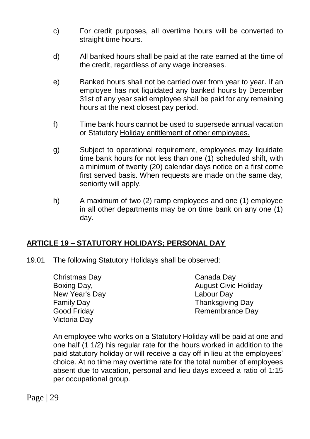- c) For credit purposes, all overtime hours will be converted to straight time hours.
- d) All banked hours shall be paid at the rate earned at the time of the credit, regardless of any wage increases.
- e) Banked hours shall not be carried over from year to year. If an employee has not liquidated any banked hours by December 31st of any year said employee shall be paid for any remaining hours at the next closest pay period.
- f) Time bank hours cannot be used to supersede annual vacation or Statutory Holiday entitlement of other employees.
- g) Subject to operational requirement, employees may liquidate time bank hours for not less than one (1) scheduled shift, with a minimum of twenty (20) calendar days notice on a first come first served basis. When requests are made on the same day, seniority will apply.
- h) A maximum of two (2) ramp employees and one (1) employee in all other departments may be on time bank on any one (1) day.

### **ARTICLE 19 – STATUTORY HOLIDAYS; PERSONAL DAY**

19.01 The following Statutory Holidays shall be observed:

Christmas Day Boxing Day, New Year's Day Family Day Good Friday Victoria Day

Canada Day August Civic Holiday Labour Day Thanksgiving Day Remembrance Day

An employee who works on a Statutory Holiday will be paid at one and one half (1 1/2) his regular rate for the hours worked in addition to the paid statutory holiday or will receive a day off in lieu at the employees' choice. At no time may overtime rate for the total number of employees absent due to vacation, personal and lieu days exceed a ratio of 1:15 per occupational group.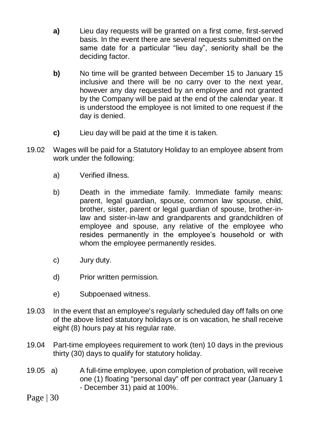- **a)** Lieu day requests will be granted on a first come, first-served basis. In the event there are several requests submitted on the same date for a particular "lieu day", seniority shall be the deciding factor.
- **b)** No time will be granted between December 15 to January 15 inclusive and there will be no carry over to the next year, however any day requested by an employee and not granted by the Company will be paid at the end of the calendar year. It is understood the employee is not limited to one request if the day is denied.
- **c)** Lieu day will be paid at the time it is taken.
- 19.02 Wages will be paid for a Statutory Holiday to an employee absent from work under the following:
	- a) Verified illness.
	- b) Death in the immediate family. Immediate family means: parent, legal guardian, spouse, common law spouse, child, brother, sister, parent or legal guardian of spouse, brother-inlaw and sister-in-law and grandparents and grandchildren of employee and spouse, any relative of the employee who resides permanently in the employee's household or with whom the employee permanently resides.
	- c) Jury duty.
	- d) Prior written permission.
	- e) Subpoenaed witness.
- 19.03 In the event that an employee's regularly scheduled day off falls on one of the above listed statutory holidays or is on vacation, he shall receive eight (8) hours pay at his regular rate.
- 19.04 Part-time employees requirement to work (ten) 10 days in the previous thirty (30) days to qualify for statutory holiday.
- 19.05 a) A full-time employee, upon completion of probation, will receive one (1) floating "personal day" off per contract year (January 1 - December 31) paid at 100%.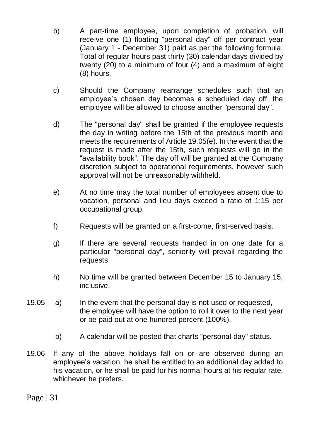- b) A part-time employee, upon completion of probation, will receive one (1) floating "personal day" off per contract year (January 1 - December 31) paid as per the following formula. Total of regular hours past thirty (30) calendar days divided by twenty (20) to a minimum of four (4) and a maximum of eight (8) hours.
- c) Should the Company rearrange schedules such that an employee's chosen day becomes a scheduled day off, the employee will be allowed to choose another "personal day".
- d) The "personal day" shall be granted if the employee requests the day in writing before the 15th of the previous month and meets the requirements of Article 19.05(e). In the event that the request is made after the 15th, such requests will go in the "availability book". The day off will be granted at the Company discretion subject to operational requirements, however such approval will not be unreasonably withheld.
- e) At no time may the total number of employees absent due to vacation, personal and lieu days exceed a ratio of 1:15 per occupational group.
- f) Requests will be granted on a first-come, first-served basis.
- g) If there are several requests handed in on one date for a particular "personal day", seniority will prevail regarding the requests.
- h) No time will be granted between December 15 to January 15, inclusive.
- 19.05 a) In the event that the personal day is not used or requested, the employee will have the option to roll it over to the next year or be paid out at one hundred percent (100%).
	- b) A calendar will be posted that charts "personal day" status.
- 19.06 If any of the above holidays fall on or are observed during an employee's vacation, he shall be entitled to an additional day added to his vacation, or he shall be paid for his normal hours at his regular rate, whichever he prefers.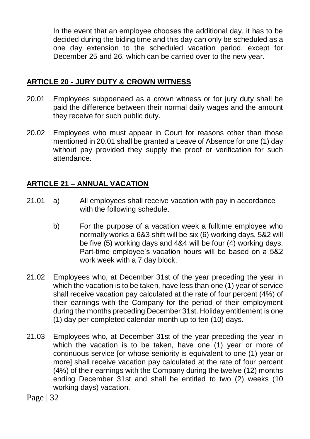In the event that an employee chooses the additional day, it has to be decided during the biding time and this day can only be scheduled as a one day extension to the scheduled vacation period, except for December 25 and 26, which can be carried over to the new year.

### **ARTICLE 20 - JURY DUTY & CROWN WITNESS**

- 20.01 Employees subpoenaed as a crown witness or for jury duty shall be paid the difference between their normal daily wages and the amount they receive for such public duty.
- 20.02 Employees who must appear in Court for reasons other than those mentioned in 20.01 shall be granted a Leave of Absence for one (1) day without pay provided they supply the proof or verification for such attendance.

# **ARTICLE 21 – ANNUAL VACATION**

- 21.01 a) All employees shall receive vacation with pay in accordance with the following schedule.
	- b) For the purpose of a vacation week a fulltime employee who normally works a 6&3 shift will be six (6) working days, 5&2 will be five (5) working days and 4&4 will be four (4) working days. Part-time employee's vacation hours will be based on a 5&2 work week with a 7 day block.
- 21.02 Employees who, at December 31st of the year preceding the year in which the vacation is to be taken, have less than one (1) year of service shall receive vacation pay calculated at the rate of four percent (4%) of their earnings with the Company for the period of their employment during the months preceding December 31st. Holiday entitlement is one (1) day per completed calendar month up to ten (10) days.
- 21.03 Employees who, at December 31st of the year preceding the year in which the vacation is to be taken, have one (1) year or more of continuous service [or whose seniority is equivalent to one (1) year or more] shall receive vacation pay calculated at the rate of four percent (4%) of their earnings with the Company during the twelve (12) months ending December 31st and shall be entitled to two (2) weeks (10 working days) vacation.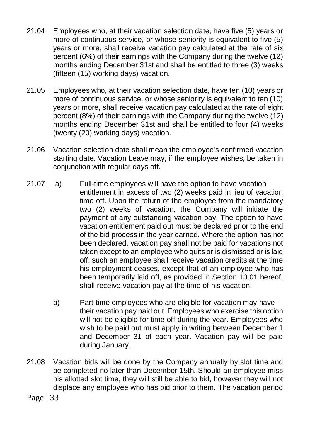- 21.04 Employees who, at their vacation selection date, have five (5) years or more of continuous service, or whose seniority is equivalent to five (5) years or more, shall receive vacation pay calculated at the rate of six percent (6%) of their earnings with the Company during the twelve (12) months ending December 31st and shall be entitled to three (3) weeks (fifteen (15) working days) vacation.
- 21.05 Employees who, at their vacation selection date, have ten (10) years or more of continuous service, or whose seniority is equivalent to ten (10) years or more, shall receive vacation pay calculated at the rate of eight percent (8%) of their earnings with the Company during the twelve (12) months ending December 31st and shall be entitled to four (4) weeks (twenty (20) working days) vacation.
- 21.06 Vacation selection date shall mean the employee's confirmed vacation starting date. Vacation Leave may, if the employee wishes, be taken in conjunction with regular days off.
- 21.07 a) Full-time employees will have the option to have vacation entitlement in excess of two (2) weeks paid in lieu of vacation time off. Upon the return of the employee from the mandatory two (2) weeks of vacation, the Company will initiate the payment of any outstanding vacation pay. The option to have vacation entitlement paid out must be declared prior to the end of the bid process in the year earned. Where the option has not been declared, vacation pay shall not be paid for vacations not taken except to an employee who quits or is dismissed or is laid off; such an employee shall receive vacation credits at the time his employment ceases, except that of an employee who has been temporarily laid off, as provided in Section 13.01 hereof, shall receive vacation pay at the time of his vacation.
	- b) Part-time employees who are eligible for vacation may have their vacation pay paid out. Employees who exercise this option will not be eligible for time off during the year. Employees who wish to be paid out must apply in writing between December 1 and December 31 of each year. Vacation pay will be paid during January.
- 21.08 Vacation bids will be done by the Company annually by slot time and be completed no later than December 15th. Should an employee miss his allotted slot time, they will still be able to bid, however they will not displace any employee who has bid prior to them. The vacation period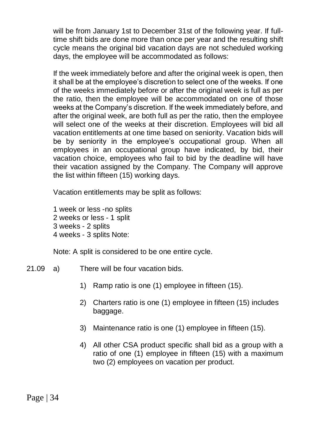will be from January 1st to December 31st of the following year. If fulltime shift bids are done more than once per year and the resulting shift cycle means the original bid vacation days are not scheduled working days, the employee will be accommodated as follows:

If the week immediately before and after the original week is open, then it shall be at the employee's discretion to select one of the weeks. If one of the weeks immediately before or after the original week is full as per the ratio, then the employee will be accommodated on one of those weeks at the Company's discretion. If the week immediately before, and after the original week, are both full as per the ratio, then the employee will select one of the weeks at their discretion. Employees will bid all vacation entitlements at one time based on seniority. Vacation bids will be by seniority in the employee's occupational group. When all employees in an occupational group have indicated, by bid, their vacation choice, employees who fail to bid by the deadline will have their vacation assigned by the Company. The Company will approve the list within fifteen (15) working days.

Vacation entitlements may be split as follows:

1 week or less -no splits 2 weeks or less - 1 split 3 weeks - 2 splits 4 weeks - 3 splits Note:

Note: A split is considered to be one entire cycle.

- 21.09 a) There will be four vacation bids.
	- 1) Ramp ratio is one (1) employee in fifteen (15).
	- 2) Charters ratio is one (1) employee in fifteen (15) includes baggage.
	- 3) Maintenance ratio is one (1) employee in fifteen (15).
	- 4) All other CSA product specific shall bid as a group with a ratio of one (1) employee in fifteen (15) with a maximum two (2) employees on vacation per product.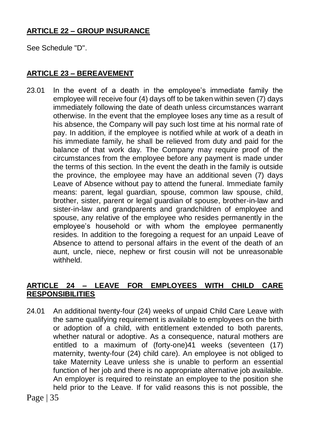# **ARTICLE 22 – GROUP INSURANCE**

See Schedule "D".

# **ARTICLE 23 – BEREAVEMENT**

23.01 In the event of a death in the employee's immediate family the employee will receive four (4) days off to be taken within seven (7) days immediately following the date of death unless circumstances warrant otherwise. In the event that the employee loses any time as a result of his absence, the Company will pay such lost time at his normal rate of pay. In addition, if the employee is notified while at work of a death in his immediate family, he shall be relieved from duty and paid for the balance of that work day. The Company may require proof of the circumstances from the employee before any payment is made under the terms of this section. In the event the death in the family is outside the province, the employee may have an additional seven (7) days Leave of Absence without pay to attend the funeral. Immediate family means: parent, legal guardian, spouse, common law spouse, child, brother, sister, parent or legal guardian of spouse, brother-in-law and sister-in-law and grandparents and grandchildren of employee and spouse, any relative of the employee who resides permanently in the employee's household or with whom the employee permanently resides. In addition to the foregoing a request for an unpaid Leave of Absence to attend to personal affairs in the event of the death of an aunt, uncle, niece, nephew or first cousin will not be unreasonable withheld.

# **ARTICLE 24 – LEAVE FOR EMPLOYEES WITH CHILD CARE RESPONSIBILITIES**

24.01 An additional twenty-four (24) weeks of unpaid Child Care Leave with the same qualifying requirement is available to employees on the birth or adoption of a child, with entitlement extended to both parents, whether natural or adoptive. As a consequence, natural mothers are entitled to a maximum of (forty-one)41 weeks (seventeen (17) maternity, twenty-four (24) child care). An employee is not obliged to take Maternity Leave unless she is unable to perform an essential function of her job and there is no appropriate alternative job available. An employer is required to reinstate an employee to the position she held prior to the Leave. If for valid reasons this is not possible, the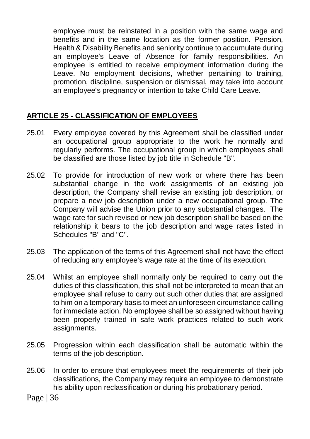employee must be reinstated in a position with the same wage and benefits and in the same location as the former position. Pension, Health & Disability Benefits and seniority continue to accumulate during an employee's Leave of Absence for family responsibilities. An employee is entitled to receive employment information during the Leave. No employment decisions, whether pertaining to training, promotion, discipline, suspension or dismissal, may take into account an employee's pregnancy or intention to take Child Care Leave.

# **ARTICLE 25 - CLASSIFICATION OF EMPLOYEES**

- 25.01 Every employee covered by this Agreement shall be classified under an occupational group appropriate to the work he normally and regularly performs. The occupational group in which employees shall be classified are those listed by job title in Schedule "B".
- 25.02 To provide for introduction of new work or where there has been substantial change in the work assignments of an existing job description, the Company shall revise an existing job description, or prepare a new job description under a new occupational group. The Company will advise the Union prior to any substantial changes. The wage rate for such revised or new job description shall be based on the relationship it bears to the job description and wage rates listed in Schedules "B" and "C".
- 25.03 The application of the terms of this Agreement shall not have the effect of reducing any employee's wage rate at the time of its execution.
- 25.04 Whilst an employee shall normally only be required to carry out the duties of this classification, this shall not be interpreted to mean that an employee shall refuse to carry out such other duties that are assigned to him on a temporary basis to meet an unforeseen circumstance calling for immediate action. No employee shall be so assigned without having been properly trained in safe work practices related to such work assignments.
- 25.05 Progression within each classification shall be automatic within the terms of the job description.
- 25.06 In order to ensure that employees meet the requirements of their job classifications, the Company may require an employee to demonstrate his ability upon reclassification or during his probationary period.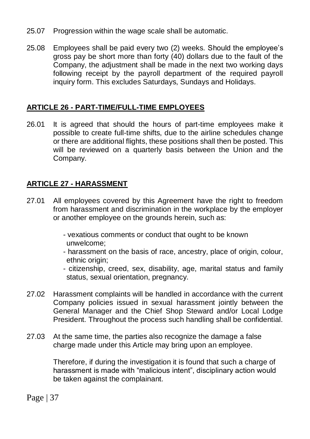- 25.07 Progression within the wage scale shall be automatic.
- 25.08 Employees shall be paid every two (2) weeks. Should the employee's gross pay be short more than forty (40) dollars due to the fault of the Company, the adjustment shall be made in the next two working days following receipt by the payroll department of the required payroll inquiry form. This excludes Saturdays, Sundays and Holidays.

### **ARTICLE 26 - PART-TIME/FULL-TIME EMPLOYEES**

26.01 It is agreed that should the hours of part-time employees make it possible to create full-time shifts, due to the airline schedules change or there are additional flights, these positions shall then be posted. This will be reviewed on a quarterly basis between the Union and the Company.

# **ARTICLE 27 - HARASSMENT**

- 27.01 All employees covered by this Agreement have the right to freedom from harassment and discrimination in the workplace by the employer or another employee on the grounds herein, such as:
	- vexatious comments or conduct that ought to be known unwelcome;
	- harassment on the basis of race, ancestry, place of origin, colour, ethnic origin:
	- citizenship, creed, sex, disability, age, marital status and family status, sexual orientation, pregnancy.
- 27.02 Harassment complaints will be handled in accordance with the current Company policies issued in sexual harassment jointly between the General Manager and the Chief Shop Steward and/or Local Lodge President. Throughout the process such handling shall be confidential.
- 27.03 At the same time, the parties also recognize the damage a false charge made under this Article may bring upon an employee.

Therefore, if during the investigation it is found that such a charge of harassment is made with "malicious intent", disciplinary action would be taken against the complainant.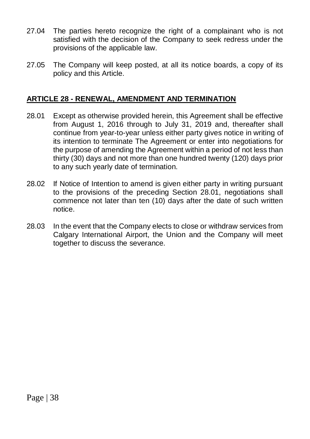- 27.04 The parties hereto recognize the right of a complainant who is not satisfied with the decision of the Company to seek redress under the provisions of the applicable law.
- 27.05 The Company will keep posted, at all its notice boards, a copy of its policy and this Article.

#### **ARTICLE 28 - RENEWAL, AMENDMENT AND TERMINATION**

- 28.01 Except as otherwise provided herein, this Agreement shall be effective from August 1, 2016 through to July 31, 2019 and, thereafter shall continue from year-to-year unless either party gives notice in writing of its intention to terminate The Agreement or enter into negotiations for the purpose of amending the Agreement within a period of not less than thirty (30) days and not more than one hundred twenty (120) days prior to any such yearly date of termination.
- 28.02 If Notice of Intention to amend is given either party in writing pursuant to the provisions of the preceding Section 28.01, negotiations shall commence not later than ten (10) days after the date of such written notice.
- 28.03 In the event that the Company elects to close or withdraw services from Calgary International Airport, the Union and the Company will meet together to discuss the severance.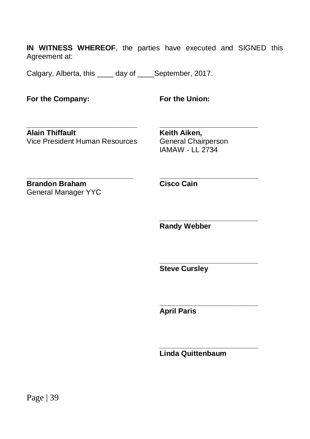**IN WITNESS WHEREOF**, the parties have executed and SIGNED this Agreement at:

Calgary, Alberta, this day of September, 2017.

**For the Company: For the Union:**

**\_\_\_\_\_\_\_\_\_\_\_\_\_\_\_\_\_\_\_\_\_\_\_\_\_\_\_ \_\_\_\_\_\_\_\_\_\_\_\_\_\_\_\_\_\_\_\_\_\_\_\_ Alain Thiffault**<br> **Vice President Human Resources** General Chairperson Vice President Human Resources

IAMAW - LL 2734

**Brandon Braham Cisco Cain** General Manager YYC

**\_\_\_\_\_\_\_\_\_\_\_\_\_\_\_\_\_\_\_\_\_\_\_\_\_\_ \_\_\_\_\_\_\_\_\_\_\_\_\_\_\_\_\_\_\_\_\_\_\_\_**

**Randy Webber**

**\_\_\_\_\_\_\_\_\_\_\_\_\_\_\_\_\_\_\_\_\_\_\_\_**

**\_\_\_\_\_\_\_\_\_\_\_\_\_\_\_\_\_\_\_\_\_\_\_\_**

**\_\_\_\_\_\_\_\_\_\_\_\_\_\_\_\_\_\_\_\_\_\_\_\_**

**\_\_\_\_\_\_\_\_\_\_\_\_\_\_\_\_\_\_\_\_\_\_\_\_**

**Steve Cursley**

**April Paris**

**Linda Quittenbaum**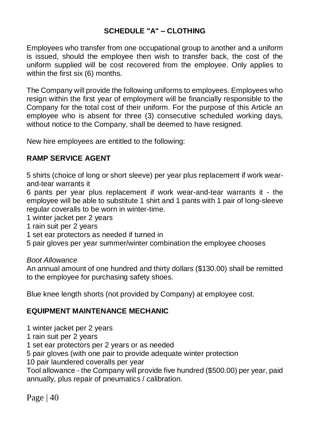# **SCHEDULE "A" – CLOTHING**

Employees who transfer from one occupational group to another and a uniform is issued, should the employee then wish to transfer back, the cost of the uniform supplied will be cost recovered from the employee. Only applies to within the first six (6) months.

The Company will provide the following uniforms to employees. Employees who resign within the first year of employment will be financially responsible to the Company for the total cost of their uniform. For the purpose of this Article an employee who is absent for three (3) consecutive scheduled working days, without notice to the Company, shall be deemed to have resigned.

New hire employees are entitled to the following:

### **RAMP SERVICE AGENT**

5 shirts (choice of long or short sleeve) per year plus replacement if work wearand-tear warrants it

6 pants per year plus replacement if work wear-and-tear warrants it - the employee will be able to substitute 1 shirt and 1 pants with 1 pair of long-sleeve regular coveralls to be worn in winter-time.

1 winter jacket per 2 years

- 1 rain suit per 2 years
- 1 set ear protectors as needed if turned in

5 pair gloves per year summer/winter combination the employee chooses

#### *Boot Allowance*

An annual amount of one hundred and thirty dollars (\$130.00) shall be remitted to the employee for purchasing safety shoes.

Blue knee length shorts (not provided by Company) at employee cost.

#### **EQUIPMENT MAINTENANCE MECHANIC**

1 winter jacket per 2 years

1 rain suit per 2 years

1 set ear protectors per 2 years or as needed

5 pair gloves (with one pair to provide adequate winter protection

10 pair laundered coveralls per year

Tool allowance - the Company will provide five hundred (\$500.00) per year, paid annually, plus repair of pneumatics / calibration.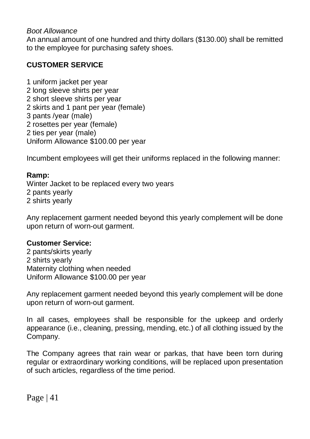#### *Boot Allowance*

An annual amount of one hundred and thirty dollars (\$130.00) shall be remitted to the employee for purchasing safety shoes.

## **CUSTOMER SERVICE**

1 uniform jacket per year 2 long sleeve shirts per year 2 short sleeve shirts per year 2 skirts and 1 pant per year (female) 3 pants /year (male) 2 rosettes per year (female) 2 ties per year (male) Uniform Allowance \$100.00 per year

Incumbent employees will get their uniforms replaced in the following manner:

#### **Ramp:**

Winter Jacket to be replaced every two years 2 pants yearly 2 shirts yearly

Any replacement garment needed beyond this yearly complement will be done upon return of worn-out garment.

#### **Customer Service:**

2 pants/skirts yearly 2 shirts yearly Maternity clothing when needed Uniform Allowance \$100.00 per year

Any replacement garment needed beyond this yearly complement will be done upon return of worn-out garment.

In all cases, employees shall be responsible for the upkeep and orderly appearance (i.e., cleaning, pressing, mending, etc.) of all clothing issued by the Company.

The Company agrees that rain wear or parkas, that have been torn during regular or extraordinary working conditions, will be replaced upon presentation of such articles, regardless of the time period.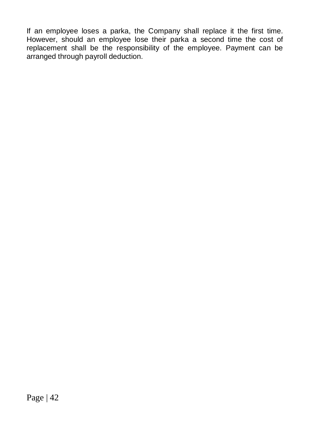If an employee loses a parka, the Company shall replace it the first time. However, should an employee lose their parka a second time the cost of replacement shall be the responsibility of the employee. Payment can be arranged through payroll deduction.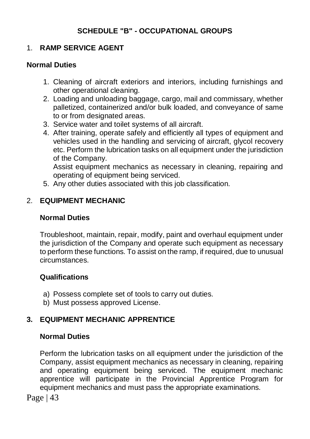# **SCHEDULE "B" - OCCUPATIONAL GROUPS**

# 1. **RAMP SERVICE AGENT**

#### **Normal Duties**

- 1. Cleaning of aircraft exteriors and interiors, including furnishings and other operational cleaning.
- 2. Loading and unloading baggage, cargo, mail and commissary, whether palletized, containerized and/or bulk loaded, and conveyance of same to or from designated areas.
- 3. Service water and toilet systems of all aircraft.
- 4. After training, operate safely and efficiently all types of equipment and vehicles used in the handling and servicing of aircraft, glycol recovery etc. Perform the lubrication tasks on all equipment under the jurisdiction of the Company.

Assist equipment mechanics as necessary in cleaning, repairing and operating of equipment being serviced.

5. Any other duties associated with this job classification.

# 2. **EQUIPMENT MECHANIC**

#### **Normal Duties**

Troubleshoot, maintain, repair, modify, paint and overhaul equipment under the jurisdiction of the Company and operate such equipment as necessary to perform these functions. To assist on the ramp, if required, due to unusual circumstances.

#### **Qualifications**

- a) Possess complete set of tools to carry out duties.
- b) Must possess approved License.

### **3. EQUIPMENT MECHANIC APPRENTICE**

### **Normal Duties**

Perform the lubrication tasks on all equipment under the jurisdiction of the Company, assist equipment mechanics as necessary in cleaning, repairing and operating equipment being serviced. The equipment mechanic apprentice will participate in the Provincial Apprentice Program for equipment mechanics and must pass the appropriate examinations.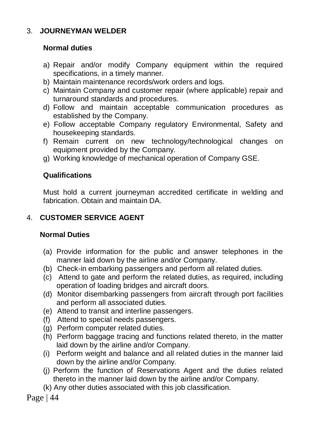## 3. **JOURNEYMAN WELDER**

#### **Normal duties**

- a) Repair and/or modify Company equipment within the required specifications, in a timely manner.
- b) Maintain maintenance records/work orders and logs.
- c) Maintain Company and customer repair (where applicable) repair and turnaround standards and procedures.
- d) Follow and maintain acceptable communication procedures as established by the Company.
- e) Follow acceptable Company regulatory Environmental, Safety and housekeeping standards.
- f) Remain current on new technology/technological changes on equipment provided by the Company.
- g) Working knowledge of mechanical operation of Company GSE.

### **Qualifications**

Must hold a current journeyman accredited certificate in welding and fabrication. Obtain and maintain DA.

# 4. **CUSTOMER SERVICE AGENT**

#### **Normal Duties**

- (a) Provide information for the public and answer telephones in the manner laid down by the airline and/or Company.
- (b) Check-in embarking passengers and perform all related duties.
- (c) Attend to gate and perform the related duties, as required, including operation of loading bridges and aircraft doors.
- (d) Monitor disembarking passengers from aircraft through port facilities and perform all associated duties.
- (e) Attend to transit and interline passengers.
- (f) Attend to special needs passengers.
- (g) Perform computer related duties.
- (h) Perform baggage tracing and functions related thereto, in the matter laid down by the airline and/or Company.
- (i) Perform weight and balance and all related duties in the manner laid down by the airline and/or Company.
- (j) Perform the function of Reservations Agent and the duties related thereto in the manner laid down by the airline and/or Company.
- (k) Any other duties associated with this job classification.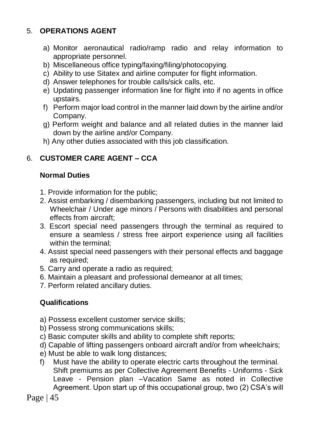# 5. **OPERATIONS AGENT**

- a) Monitor aeronautical radio/ramp radio and relay information to appropriate personnel.
- b) Miscellaneous office typing/faxing/filing/photocopying.
- c) Ability to use Sitatex and airline computer for flight information.
- d) Answer telephones for trouble calls/sick calls, etc.
- e) Updating passenger information line for flight into if no agents in office upstairs.
- f) Perform major load control in the manner laid down by the airline and/or Company.
- g) Perform weight and balance and all related duties in the manner laid down by the airline and/or Company.
- h) Any other duties associated with this job classification.

# 6. **CUSTOMER CARE AGENT – CCA**

# **Normal Duties**

- 1. Provide information for the public;
- 2. Assist embarking / disembarking passengers, including but not limited to Wheelchair / Under age minors / Persons with disabilities and personal effects from aircraft;
- 3. Escort special need passengers through the terminal as required to ensure a seamless / stress free airport experience using all facilities within the terminal;
- 4. Assist special need passengers with their personal effects and baggage as required;
- 5. Carry and operate a radio as required;
- 6. Maintain a pleasant and professional demeanor at all times;
- 7. Perform related ancillary duties.

# **Qualifications**

- a) Possess excellent customer service skills;
- b) Possess strong communications skills;
- c) Basic computer skills and ability to complete shift reports;
- d) Capable of lifting passengers onboard aircraft and/or from wheelchairs;
- e) Must be able to walk long distances;
- f) Must have the ability to operate electric carts throughout the terminal. Shift premiums as per Collective Agreement Benefits - Uniforms - Sick Leave - Pension plan –Vacation Same as noted in Collective Agreement. Upon start up of this occupational group, two (2) CSA's will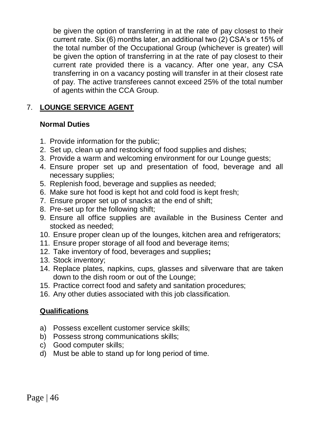be given the option of transferring in at the rate of pay closest to their current rate. Six (6) months later, an additional two (2) CSA's or 15% of the total number of the Occupational Group (whichever is greater) will be given the option of transferring in at the rate of pay closest to their current rate provided there is a vacancy. After one year, any CSA transferring in on a vacancy posting will transfer in at their closest rate of pay. The active transferees cannot exceed 25% of the total number of agents within the CCA Group.

# 7. **LOUNGE SERVICE AGENT**

### **Normal Duties**

- 1. Provide information for the public;
- 2. Set up, clean up and restocking of food supplies and dishes;
- 3. Provide a warm and welcoming environment for our Lounge guests;
- 4. Ensure proper set up and presentation of food, beverage and all necessary supplies;
- 5. Replenish food, beverage and supplies as needed;
- 6. Make sure hot food is kept hot and cold food is kept fresh;
- 7. Ensure proper set up of snacks at the end of shift;
- 8. Pre-set up for the following shift;
- 9. Ensure all office supplies are available in the Business Center and stocked as needed;
- 10. Ensure proper clean up of the lounges, kitchen area and refrigerators;
- 11. Ensure proper storage of all food and beverage items;
- 12. Take inventory of food, beverages and supplies**;**
- 13. Stock inventory;
- 14. Replace plates, napkins, cups, glasses and silverware that are taken down to the dish room or out of the Lounge;
- 15. Practice correct food and safety and sanitation procedures;
- 16. Any other duties associated with this job classification.

### **Qualifications**

- a) Possess excellent customer service skills;
- b) Possess strong communications skills;
- c) Good computer skills;
- d) Must be able to stand up for long period of time.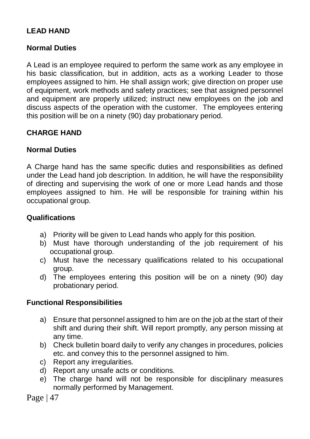# **LEAD HAND**

### **Normal Duties**

A Lead is an employee required to perform the same work as any employee in his basic classification, but in addition, acts as a working Leader to those employees assigned to him. He shall assign work; give direction on proper use of equipment, work methods and safety practices; see that assigned personnel and equipment are properly utilized; instruct new employees on the job and discuss aspects of the operation with the customer. The employees entering this position will be on a ninety (90) day probationary period.

### **CHARGE HAND**

### **Normal Duties**

A Charge hand has the same specific duties and responsibilities as defined under the Lead hand job description. In addition, he will have the responsibility of directing and supervising the work of one or more Lead hands and those employees assigned to him. He will be responsible for training within his occupational group.

### **Qualifications**

- a) Priority will be given to Lead hands who apply for this position.
- b) Must have thorough understanding of the job requirement of his occupational group.
- c) Must have the necessary qualifications related to his occupational group.
- d) The employees entering this position will be on a ninety (90) day probationary period.

#### **Functional Responsibilities**

- a) Ensure that personnel assigned to him are on the job at the start of their shift and during their shift. Will report promptly, any person missing at any time.
- b) Check bulletin board daily to verify any changes in procedures, policies etc. and convey this to the personnel assigned to him.
- c) Report any irregularities.
- d) Report any unsafe acts or conditions.
- e) The charge hand will not be responsible for disciplinary measures normally performed by Management.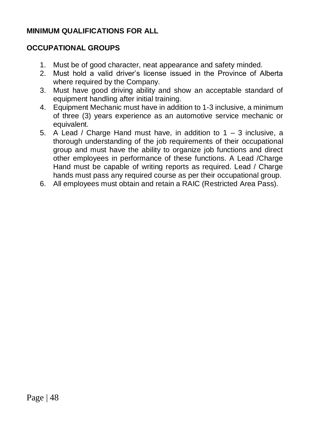### **MINIMUM QUALIFICATIONS FOR ALL**

### **OCCUPATIONAL GROUPS**

- 1. Must be of good character, neat appearance and safety minded.
- 2. Must hold a valid driver's license issued in the Province of Alberta where required by the Company.
- 3. Must have good driving ability and show an acceptable standard of equipment handling after initial training.
- 4. Equipment Mechanic must have in addition to 1-3 inclusive, a minimum of three (3) years experience as an automotive service mechanic or equivalent.
- 5. A Lead / Charge Hand must have, in addition to 1 3 inclusive, a thorough understanding of the job requirements of their occupational group and must have the ability to organize job functions and direct other employees in performance of these functions. A Lead /Charge Hand must be capable of writing reports as required. Lead / Charge hands must pass any required course as per their occupational group.
- 6. All employees must obtain and retain a RAIC (Restricted Area Pass).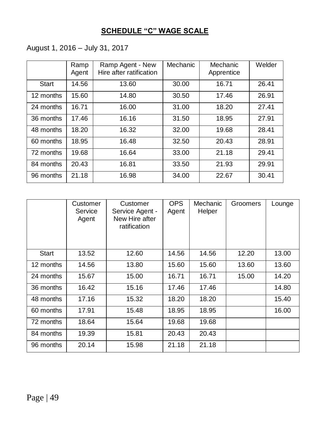# **SCHEDULE "C" WAGE SCALE**

# August 1, 2016 – July 31, 2017

|              | Ramp<br>Agent | Ramp Agent - New<br>Hire after ratification | Mechanic | Mechanic<br>Apprentice | Welder |
|--------------|---------------|---------------------------------------------|----------|------------------------|--------|
| <b>Start</b> | 14.56         | 13.60                                       | 30.00    | 16.71                  | 26.41  |
| 12 months    | 15.60         | 14.80                                       | 30.50    | 17.46                  | 26.91  |
| 24 months    | 16.71         | 16.00                                       | 31.00    | 18.20                  | 27.41  |
| 36 months    | 17.46         | 16.16                                       | 31.50    | 18.95                  | 27.91  |
| 48 months    | 18.20         | 16.32                                       | 32.00    | 19.68                  | 28.41  |
| 60 months    | 18.95         | 16.48                                       | 32.50    | 20.43                  | 28.91  |
| 72 months    | 19.68         | 16.64                                       | 33.00    | 21.18                  | 29.41  |
| 84 months    | 20.43         | 16.81                                       | 33.50    | 21.93                  | 29.91  |
| 96 months    | 21.18         | 16.98                                       | 34.00    | 22.67                  | 30.41  |

|           | Customer<br>Service<br>Agent | Customer<br>Service Agent -<br>New Hire after<br>ratification | <b>OPS</b><br>Agent | Mechanic<br>Helper | Groomers | Lounge |
|-----------|------------------------------|---------------------------------------------------------------|---------------------|--------------------|----------|--------|
| Start     | 13.52                        | 12.60                                                         | 14.56               | 14.56              | 12.20    | 13.00  |
| 12 months | 14.56                        | 13.80                                                         | 15.60               | 15.60              | 13.60    | 13.60  |
| 24 months | 15.67                        | 15.00                                                         | 16.71               | 16.71              | 15.00    | 14.20  |
| 36 months | 16.42                        | 15.16                                                         | 17.46               | 17.46              |          | 14.80  |
| 48 months | 17.16                        | 15.32                                                         | 18.20               | 18.20              |          | 15.40  |
| 60 months | 17.91                        | 15.48                                                         | 18.95               | 18.95              |          | 16.00  |
| 72 months | 18.64                        | 15.64                                                         | 19.68               | 19.68              |          |        |
| 84 months | 19.39                        | 15.81                                                         | 20.43               | 20.43              |          |        |
| 96 months | 20.14                        | 15.98                                                         | 21.18               | 21.18              |          |        |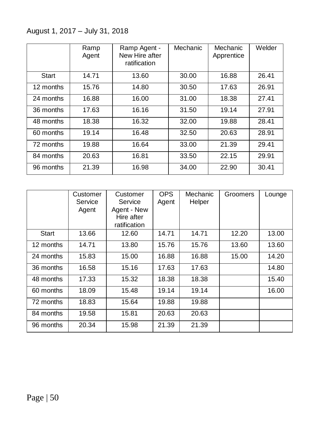August 1, 2017 – July 31, 2018

|              | Ramp<br>Agent | Ramp Agent -<br>New Hire after<br>ratification | Mechanic | Mechanic<br>Apprentice | Welder |
|--------------|---------------|------------------------------------------------|----------|------------------------|--------|
| <b>Start</b> | 14.71         | 13.60                                          | 30.00    | 16.88                  | 26.41  |
| 12 months    | 15.76         | 14.80                                          | 30.50    | 17.63                  | 26.91  |
| 24 months    | 16.88         | 16.00                                          | 31.00    | 18.38                  | 27.41  |
| 36 months    | 17.63         | 16.16                                          | 31.50    | 19.14                  | 27.91  |
| 48 months    | 18.38         | 16.32                                          | 32.00    | 19.88                  | 28.41  |
| 60 months    | 19.14         | 16.48                                          | 32.50    | 20.63                  | 28.91  |
| 72 months    | 19.88         | 16.64                                          | 33.00    | 21.39                  | 29.41  |
| 84 months    | 20.63         | 16.81                                          | 33.50    | 22.15                  | 29.91  |
| 96 months    | 21.39         | 16.98                                          | 34.00    | 22.90                  | 30.41  |

|           | Customer<br>Service<br>Agent | Customer<br>Service<br>Agent - New<br>Hire after<br>ratification | <b>OPS</b><br>Agent | Mechanic<br>Helper | Groomers | Lounge |
|-----------|------------------------------|------------------------------------------------------------------|---------------------|--------------------|----------|--------|
| Start     | 13.66                        | 12.60                                                            | 14.71               | 14.71              | 12.20    | 13.00  |
| 12 months | 14.71                        | 13.80                                                            | 15.76               | 15.76              | 13.60    | 13.60  |
| 24 months | 15.83                        | 15.00                                                            | 16.88               | 16.88              | 15.00    | 14.20  |
| 36 months | 16.58                        | 15.16                                                            | 17.63               | 17.63              |          | 14.80  |
| 48 months | 17.33                        | 15.32                                                            | 18.38               | 18.38              |          | 15.40  |
| 60 months | 18.09                        | 15.48                                                            | 19.14               | 19.14              |          | 16.00  |
| 72 months | 18.83                        | 15.64                                                            | 19.88               | 19.88              |          |        |
| 84 months | 19.58                        | 15.81                                                            | 20.63               | 20.63              |          |        |
| 96 months | 20.34                        | 15.98                                                            | 21.39               | 21.39              |          |        |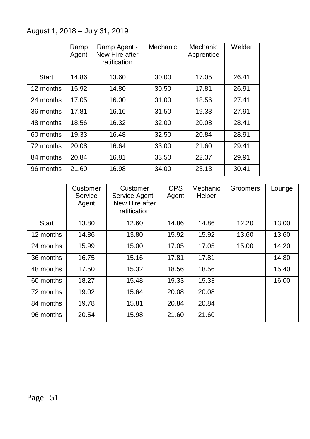# August 1, 2018 – July 31, 2019

|           | Ramp<br>Agent | Ramp Agent -<br>New Hire after<br>ratification | Mechanic | Mechanic<br>Apprentice | Welder |
|-----------|---------------|------------------------------------------------|----------|------------------------|--------|
| Start     | 14.86         | 13.60                                          | 30.00    | 17.05                  | 26.41  |
| 12 months | 15.92         | 14.80                                          | 30.50    | 17.81                  | 26.91  |
| 24 months | 17.05         | 16.00                                          | 31.00    | 18.56                  | 27.41  |
| 36 months | 17.81         | 16.16                                          | 31.50    | 19.33                  | 27.91  |
| 48 months | 18.56         | 16.32                                          | 32.00    | 20.08                  | 28.41  |
| 60 months | 19.33         | 16.48                                          | 32.50    | 20.84                  | 28.91  |
| 72 months | 20.08         | 16.64                                          | 33.00    | 21.60                  | 29.41  |
| 84 months | 20.84         | 16.81                                          | 33.50    | 22.37                  | 29.91  |
| 96 months | 21.60         | 16.98                                          | 34.00    | 23.13                  | 30.41  |

|           | Customer<br>Service<br>Agent | Customer<br>Service Agent -<br>New Hire after<br>ratification | <b>OPS</b><br>Agent | Mechanic<br>Helper | Groomers | Lounge |
|-----------|------------------------------|---------------------------------------------------------------|---------------------|--------------------|----------|--------|
| Start     | 13.80                        | 12.60                                                         | 14.86               | 14.86              | 12.20    | 13.00  |
| 12 months | 14.86                        | 13.80                                                         | 15.92               | 15.92              | 13.60    | 13.60  |
| 24 months | 15.99                        | 15.00                                                         | 17.05               | 17.05              | 15.00    | 14.20  |
| 36 months | 16.75                        | 15.16                                                         | 17.81               | 17.81              |          | 14.80  |
| 48 months | 17.50                        | 15.32                                                         | 18.56               | 18.56              |          | 15.40  |
| 60 months | 18.27                        | 15.48                                                         | 19.33               | 19.33              |          | 16.00  |
| 72 months | 19.02                        | 15.64                                                         | 20.08               | 20.08              |          |        |
| 84 months | 19.78                        | 15.81                                                         | 20.84               | 20.84              |          |        |
| 96 months | 20.54                        | 15.98                                                         | 21.60               | 21.60              |          |        |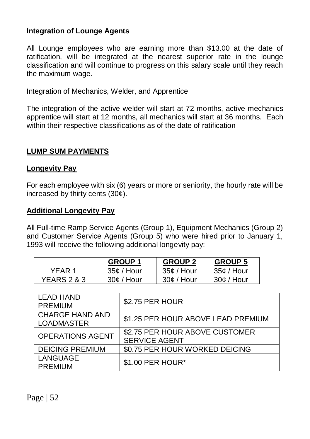#### **Integration of Lounge Agents**

All Lounge employees who are earning more than \$13.00 at the date of ratification, will be integrated at the nearest superior rate in the lounge classification and will continue to progress on this salary scale until they reach the maximum wage.

Integration of Mechanics, Welder, and Apprentice

The integration of the active welder will start at 72 months, active mechanics apprentice will start at 12 months, all mechanics will start at 36 months. Each within their respective classifications as of the date of ratification

#### **LUMP SUM PAYMENTS**

#### **Longevity Pay**

For each employee with six (6) years or more or seniority, the hourly rate will be increased by thirty cents (30¢).

#### **Additional Longevity Pay**

All Full-time Ramp Service Agents (Group 1), Equipment Mechanics (Group 2) and Customer Service Agents (Group 5) who were hired prior to January 1, 1993 will receive the following additional longevity pay:

|                        | <b>GROUP 1</b> | <b>GROUP 2</b> | <b>GROUP 5</b> |
|------------------------|----------------|----------------|----------------|
| YFAR 1                 | $35¢$ / Hour   | 35¢ / Hour     | $35¢$ / Hour   |
| <b>YEARS 2 &amp; 3</b> | $30¢$ / Hour   | $30¢$ / Hour   | $30¢$ / Hour   |

| <b>LEAD HAND</b><br><b>PREMIUM</b>          | \$2.75 PER HOUR                                        |
|---------------------------------------------|--------------------------------------------------------|
| <b>CHARGE HAND AND</b><br><b>LOADMASTER</b> | \$1.25 PER HOUR ABOVE LEAD PREMIUM                     |
| <b>OPERATIONS AGENT</b>                     | \$2.75 PER HOUR ABOVE CUSTOMER<br><b>SERVICE AGENT</b> |
| <b>DEICING PREMIUM</b>                      | \$0.75 PER HOUR WORKED DEICING                         |
| LANGUAGE<br><b>PREMIUM</b>                  | \$1.00 PER HOUR*                                       |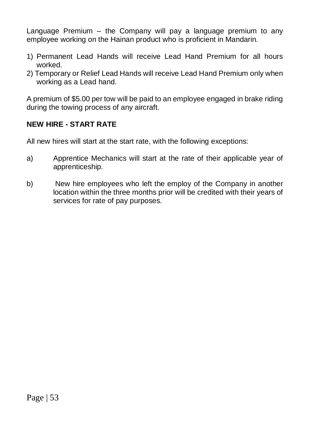Language Premium – the Company will pay a language premium to any employee working on the Hainan product who is proficient in Mandarin.

- 1) Permanent Lead Hands will receive Lead Hand Premium for all hours worked.
- 2) Temporary or Relief Lead Hands will receive Lead Hand Premium only when working as a Lead hand.

A premium of \$5.00 per tow will be paid to an employee engaged in brake riding during the towing process of any aircraft.

# **NEW HIRE - START RATE**

All new hires will start at the start rate, with the following exceptions:

- a) Apprentice Mechanics will start at the rate of their applicable year of apprenticeship.
- b) New hire employees who left the employ of the Company in another location within the three months prior will be credited with their years of services for rate of pay purposes.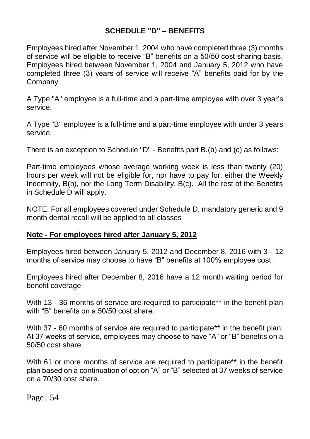# **SCHEDULE "D" – BENEFITS**

Employees hired after November 1, 2004 who have completed three (3) months of service will be eligible to receive "B" benefits on a 50/50 cost sharing basis. Employees hired between November 1, 2004 and January 5, 2012 who have completed three (3) years of service will receive "A" benefits paid for by the Company.

A Type "A" employee is a full-time and a part-time employee with over 3 year's service.

A Type "B" employee is a full-time and a part-time employee with under 3 years service.

There is an exception to Schedule "D" - Benefits part B.(b) and (c) as follows:

Part-time employees whose average working week is less than twenty (20) hours per week will not be eligible for, nor have to pay for, either the Weekly Indemnity, B(b), nor the Long Term Disability, B(c). All the rest of the Benefits in Schedule D will apply.

NOTE: For all employees covered under Schedule D, mandatory generic and 9 month dental recall will be applied to all classes

### **Note - For employees hired after January 5, 2012**

Employees hired between January 5, 2012 and December 8, 2016 with 3 - 12 months of service may choose to have "B" benefits at 100% employee cost.

Employees hired after December 8, 2016 have a 12 month waiting period for benefit coverage

With 13 - 36 months of service are required to participate\*\* in the benefit plan with "B" benefits on a 50/50 cost share.

With 37 - 60 months of service are required to participate\*\* in the benefit plan. At 37 weeks of service, employees may choose to have "A" or "B" benefits on a 50/50 cost share.

With 61 or more months of service are required to participate\*\* in the benefit plan based on a continuation of option "A" or "B" selected at 37 weeks of service on a 70/30 cost share.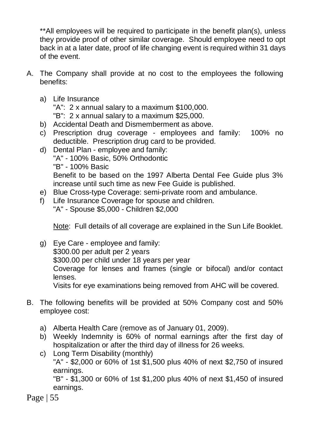\*\*All employees will be required to participate in the benefit plan(s), unless they provide proof of other similar coverage. Should employee need to opt back in at a later date, proof of life changing event is required within 31 days of the event.

- A. The Company shall provide at no cost to the employees the following benefits:
	- a) Life Insurance

"A": 2 x annual salary to a maximum \$100,000.

"B": 2 x annual salary to a maximum \$25,000.

- b) Accidental Death and Dismemberment as above.
- c) Prescription drug coverage employees and family: 100% no deductible. Prescription drug card to be provided.
- d) Dental Plan employee and family: "A" - 100% Basic, 50% Orthodontic "B" - 100% Basic Benefit to be based on the 1997 Alberta Dental Fee Guide plus 3% increase until such time as new Fee Guide is published.
- e) Blue Cross-type Coverage: semi-private room and ambulance.
- f) Life Insurance Coverage for spouse and children. "A" - Spouse \$5,000 - Children \$2,000

Note: Full details of all coverage are explained in the Sun Life Booklet.

- g) Eye Care employee and family: \$300.00 per adult per 2 years \$300.00 per child under 18 years per year Coverage for lenses and frames (single or bifocal) and/or contact lenses. Visits for eye examinations being removed from AHC will be covered.
- B. The following benefits will be provided at 50% Company cost and 50% employee cost:
	- a) Alberta Health Care (remove as of January 01, 2009).
	- b) Weekly Indemnity is 60% of normal earnings after the first day of hospitalization or after the third day of illness for 26 weeks.
	- c) Long Term Disability (monthly) "A" - \$2,000 or 60% of 1st \$1,500 plus 40% of next \$2,750 of insured earnings. "B" - \$1,300 or 60% of 1st \$1,200 plus 40% of next \$1,450 of insured

earnings.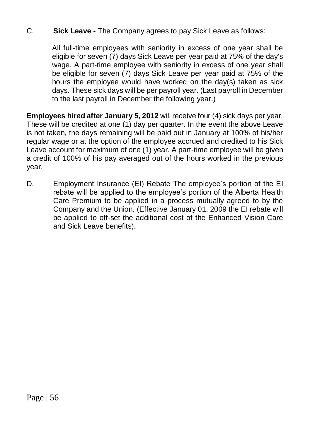### C. **Sick Leave -** The Company agrees to pay Sick Leave as follows:

All full-time employees with seniority in excess of one year shall be eligible for seven (7) days Sick Leave per year paid at 75% of the day's wage. A part-time employee with seniority in excess of one year shall be eligible for seven (7) days Sick Leave per year paid at 75% of the hours the employee would have worked on the day(s) taken as sick days. These sick days will be per payroll year. (Last payroll in December to the last payroll in December the following year.)

**Employees hired after January 5, 2012** will receive four (4) sick days per year. These will be credited at one (1) day per quarter. In the event the above Leave is not taken, the days remaining will be paid out in January at 100% of his/her regular wage or at the option of the employee accrued and credited to his Sick Leave account for maximum of one (1) year. A part-time employee will be given a credit of 100% of his pay averaged out of the hours worked in the previous year.

D. Employment Insurance (EI) Rebate The employee's portion of the EI rebate will be applied to the employee's portion of the Alberta Health Care Premium to be applied in a process mutually agreed to by the Company and the Union. (Effective January 01, 2009 the EI rebate will be applied to off-set the additional cost of the Enhanced Vision Care and Sick Leave benefits).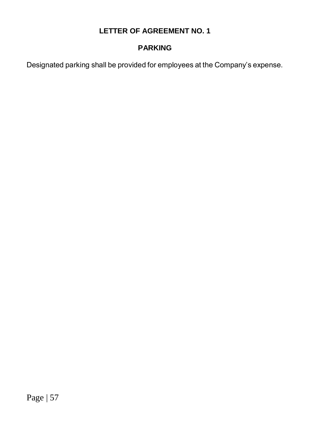# **PARKING**

Designated parking shall be provided for employees at the Company's expense.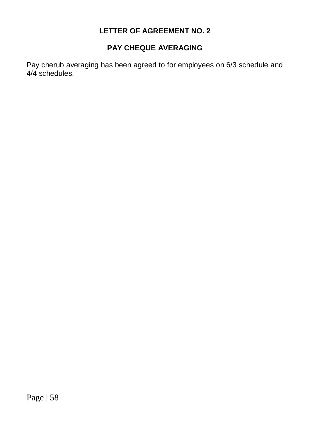# **PAY CHEQUE AVERAGING**

Pay cherub averaging has been agreed to for employees on 6/3 schedule and 4/4 schedules.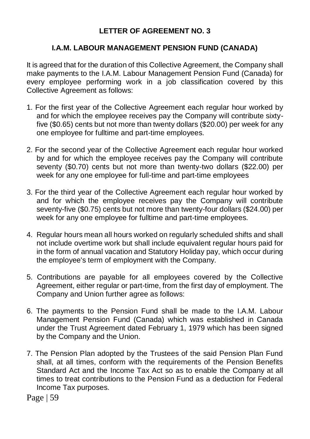### **I.A.M. LABOUR MANAGEMENT PENSION FUND (CANADA)**

It is agreed that for the duration of this Collective Agreement, the Company shall make payments to the I.A.M. Labour Management Pension Fund (Canada) for every employee performing work in a job classification covered by this Collective Agreement as follows:

- 1. For the first year of the Collective Agreement each regular hour worked by and for which the employee receives pay the Company will contribute sixtyfive (\$0.65) cents but not more than twenty dollars (\$20.00) per week for any one employee for fulltime and part-time employees.
- 2. For the second year of the Collective Agreement each regular hour worked by and for which the employee receives pay the Company will contribute seventy (\$0.70) cents but not more than twenty-two dollars (\$22.00) per week for any one employee for full-time and part-time employees
- 3. For the third year of the Collective Agreement each regular hour worked by and for which the employee receives pay the Company will contribute seventy-five (\$0.75) cents but not more than twenty-four dollars (\$24.00) per week for any one employee for fulltime and part-time employees.
- 4. Regular hours mean all hours worked on regularly scheduled shifts and shall not include overtime work but shall include equivalent regular hours paid for in the form of annual vacation and Statutory Holiday pay, which occur during the employee's term of employment with the Company.
- 5. Contributions are payable for all employees covered by the Collective Agreement, either regular or part-time, from the first day of employment. The Company and Union further agree as follows:
- 6. The payments to the Pension Fund shall be made to the I.A.M. Labour Management Pension Fund (Canada) which was established in Canada under the Trust Agreement dated February 1, 1979 which has been signed by the Company and the Union.
- 7. The Pension Plan adopted by the Trustees of the said Pension Plan Fund shall, at all times, conform with the requirements of the Pension Benefits Standard Act and the Income Tax Act so as to enable the Company at all times to treat contributions to the Pension Fund as a deduction for Federal Income Tax purposes.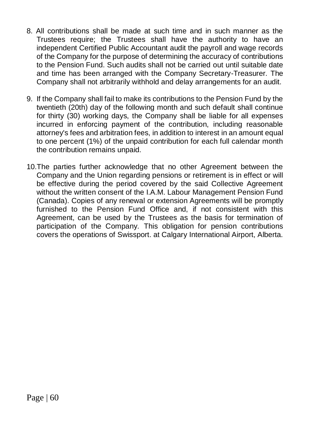- 8. All contributions shall be made at such time and in such manner as the Trustees require; the Trustees shall have the authority to have an independent Certified Public Accountant audit the payroll and wage records of the Company for the purpose of determining the accuracy of contributions to the Pension Fund. Such audits shall not be carried out until suitable date and time has been arranged with the Company Secretary-Treasurer. The Company shall not arbitrarily withhold and delay arrangements for an audit.
- 9. If the Company shall fail to make its contributions to the Pension Fund by the twentieth (20th) day of the following month and such default shall continue for thirty (30) working days, the Company shall be liable for all expenses incurred in enforcing payment of the contribution, including reasonable attorney's fees and arbitration fees, in addition to interest in an amount equal to one percent (1%) of the unpaid contribution for each full calendar month the contribution remains unpaid.
- 10.The parties further acknowledge that no other Agreement between the Company and the Union regarding pensions or retirement is in effect or will be effective during the period covered by the said Collective Agreement without the written consent of the I.A.M. Labour Management Pension Fund (Canada). Copies of any renewal or extension Agreements will be promptly furnished to the Pension Fund Office and, if not consistent with this Agreement, can be used by the Trustees as the basis for termination of participation of the Company. This obligation for pension contributions covers the operations of Swissport. at Calgary International Airport, Alberta.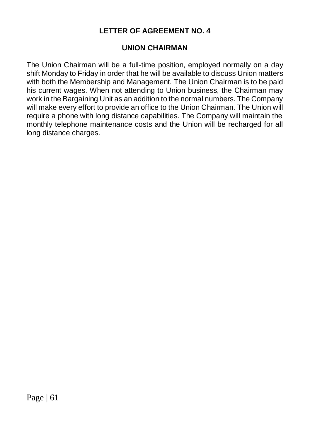### **UNION CHAIRMAN**

The Union Chairman will be a full-time position, employed normally on a day shift Monday to Friday in order that he will be available to discuss Union matters with both the Membership and Management. The Union Chairman is to be paid his current wages. When not attending to Union business, the Chairman may work in the Bargaining Unit as an addition to the normal numbers. The Company will make every effort to provide an office to the Union Chairman. The Union will require a phone with long distance capabilities. The Company will maintain the monthly telephone maintenance costs and the Union will be recharged for all long distance charges.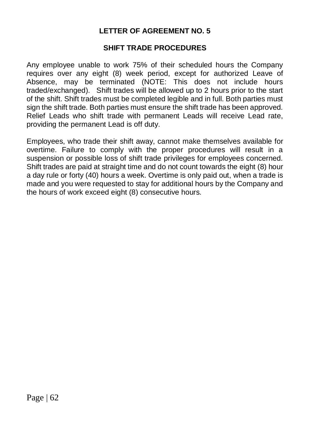### **SHIFT TRADE PROCEDURES**

Any employee unable to work 75% of their scheduled hours the Company requires over any eight (8) week period, except for authorized Leave of Absence, may be terminated (NOTE: This does not include hours traded/exchanged). Shift trades will be allowed up to 2 hours prior to the start of the shift. Shift trades must be completed legible and in full. Both parties must sign the shift trade. Both parties must ensure the shift trade has been approved. Relief Leads who shift trade with permanent Leads will receive Lead rate, providing the permanent Lead is off duty.

Employees, who trade their shift away, cannot make themselves available for overtime. Failure to comply with the proper procedures will result in a suspension or possible loss of shift trade privileges for employees concerned. Shift trades are paid at straight time and do not count towards the eight (8) hour a day rule or forty (40) hours a week. Overtime is only paid out, when a trade is made and you were requested to stay for additional hours by the Company and the hours of work exceed eight (8) consecutive hours.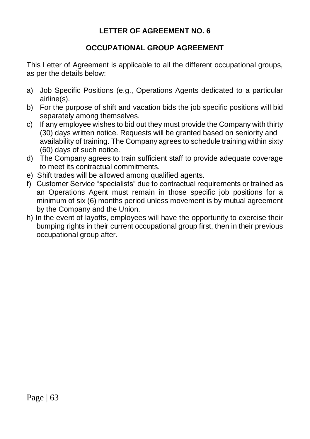# **OCCUPATIONAL GROUP AGREEMENT**

This Letter of Agreement is applicable to all the different occupational groups, as per the details below:

- a) Job Specific Positions (e.g., Operations Agents dedicated to a particular airline(s).
- b) For the purpose of shift and vacation bids the job specific positions will bid separately among themselves.
- c) If any employee wishes to bid out they must provide the Company with thirty (30) days written notice. Requests will be granted based on seniority and availability of training. The Company agrees to schedule training within sixty (60) days of such notice.
- d) The Company agrees to train sufficient staff to provide adequate coverage to meet its contractual commitments.
- e) Shift trades will be allowed among qualified agents.
- f) Customer Service "specialists" due to contractual requirements or trained as an Operations Agent must remain in those specific job positions for a minimum of six (6) months period unless movement is by mutual agreement by the Company and the Union.
- h) In the event of layoffs, employees will have the opportunity to exercise their bumping rights in their current occupational group first, then in their previous occupational group after.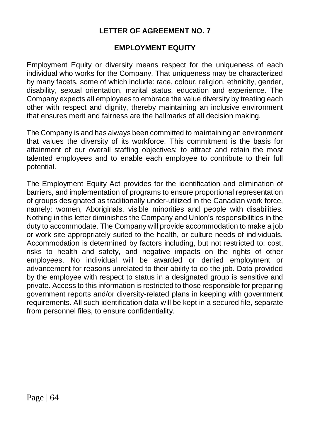### **EMPLOYMENT EQUITY**

Employment Equity or diversity means respect for the uniqueness of each individual who works for the Company. That uniqueness may be characterized by many facets, some of which include: race, colour, religion, ethnicity, gender, disability, sexual orientation, marital status, education and experience. The Company expects all employees to embrace the value diversity by treating each other with respect and dignity, thereby maintaining an inclusive environment that ensures merit and fairness are the hallmarks of all decision making.

The Company is and has always been committed to maintaining an environment that values the diversity of its workforce. This commitment is the basis for attainment of our overall staffing objectives: to attract and retain the most talented employees and to enable each employee to contribute to their full potential.

The Employment Equity Act provides for the identification and elimination of barriers, and implementation of programs to ensure proportional representation of groups designated as traditionally under-utilized in the Canadian work force, namely: women, Aboriginals, visible minorities and people with disabilities. Nothing in this letter diminishes the Company and Union's responsibilities in the duty to accommodate. The Company will provide accommodation to make a job or work site appropriately suited to the health, or culture needs of individuals. Accommodation is determined by factors including, but not restricted to: cost, risks to health and safety, and negative impacts on the rights of other employees. No individual will be awarded or denied employment or advancement for reasons unrelated to their ability to do the job. Data provided by the employee with respect to status in a designated group is sensitive and private. Access to this information is restricted to those responsible for preparing government reports and/or diversity-related plans in keeping with government requirements. All such identification data will be kept in a secured file, separate from personnel files, to ensure confidentiality.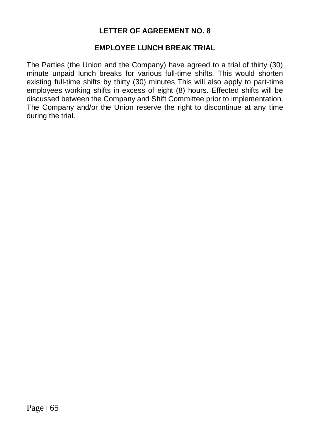#### **EMPLOYEE LUNCH BREAK TRIAL**

The Parties (the Union and the Company) have agreed to a trial of thirty (30) minute unpaid lunch breaks for various full-time shifts. This would shorten existing full-time shifts by thirty (30) minutes This will also apply to part-time employees working shifts in excess of eight (8) hours. Effected shifts will be discussed between the Company and Shift Committee prior to implementation. The Company and/or the Union reserve the right to discontinue at any time during the trial.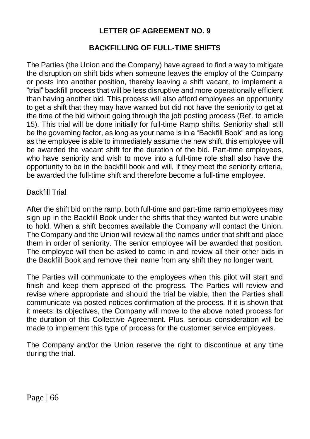### **BACKFILLING OF FULL-TIME SHIFTS**

The Parties (the Union and the Company) have agreed to find a way to mitigate the disruption on shift bids when someone leaves the employ of the Company or posts into another position, thereby leaving a shift vacant, to implement a "trial" backfill process that will be less disruptive and more operationally efficient than having another bid. This process will also afford employees an opportunity to get a shift that they may have wanted but did not have the seniority to get at the time of the bid without going through the job posting process (Ref. to article 15). This trial will be done initially for full-time Ramp shifts. Seniority shall still be the governing factor, as long as your name is in a "Backfill Book" and as long as the employee is able to immediately assume the new shift, this employee will be awarded the vacant shift for the duration of the bid. Part-time employees, who have seniority and wish to move into a full-time role shall also have the opportunity to be in the backfill book and will, if they meet the seniority criteria, be awarded the full-time shift and therefore become a full-time employee.

### Backfill Trial

After the shift bid on the ramp, both full-time and part-time ramp employees may sign up in the Backfill Book under the shifts that they wanted but were unable to hold. When a shift becomes available the Company will contact the Union. The Company and the Union will review all the names under that shift and place them in order of seniority. The senior employee will be awarded that position. The employee will then be asked to come in and review all their other bids in the Backfill Book and remove their name from any shift they no longer want.

The Parties will communicate to the employees when this pilot will start and finish and keep them apprised of the progress. The Parties will review and revise where appropriate and should the trial be viable, then the Parties shall communicate via posted notices confirmation of the process. If it is shown that it meets its objectives, the Company will move to the above noted process for the duration of this Collective Agreement. Plus, serious consideration will be made to implement this type of process for the customer service employees.

The Company and/or the Union reserve the right to discontinue at any time during the trial.